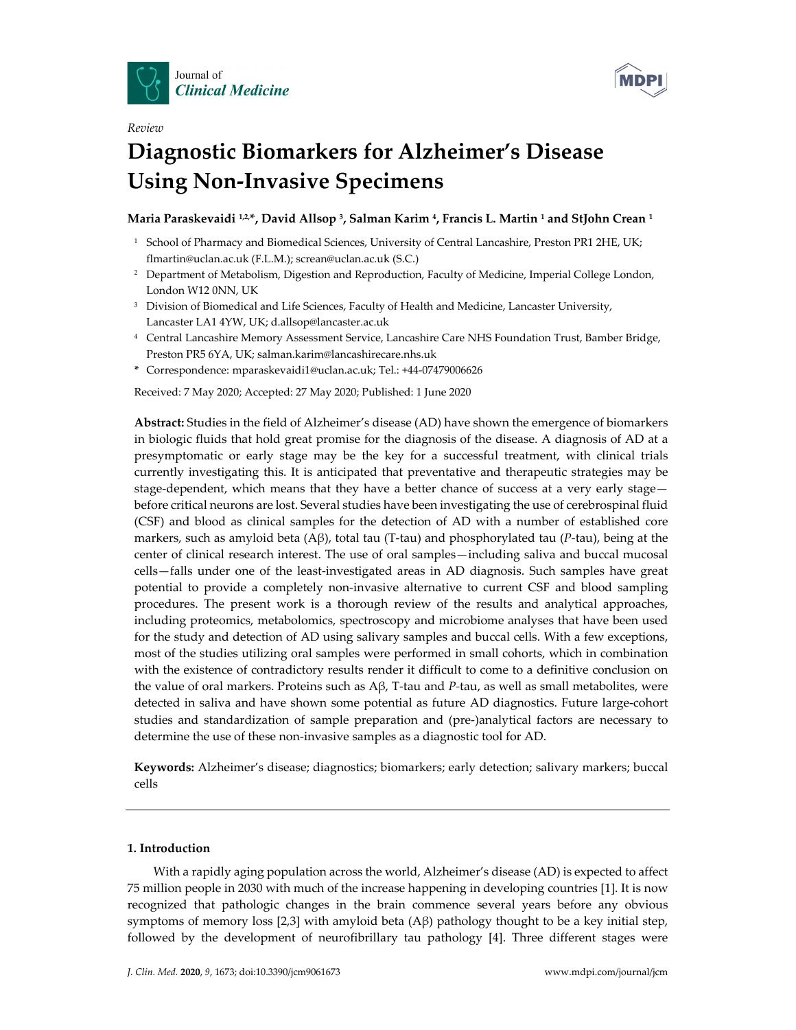



# *Review* **Diagnostic Biomarkers for Alzheimer's Disease Using Non‐Invasive Specimens**

# **Maria Paraskevaidi 1,2,\*, David Allsop 3, Salman Karim 4, Francis L. Martin <sup>1</sup> and StJohn Crean <sup>1</sup>**

- <sup>1</sup> School of Pharmacy and Biomedical Sciences, University of Central Lancashire, Preston PR1 2HE, UK; flmartin@uclan.ac.uk (F.L.M.); screan@uclan.ac.uk (S.C.)
- <sup>2</sup> Department of Metabolism, Digestion and Reproduction, Faculty of Medicine, Imperial College London, London W12 0NN, UK
- <sup>3</sup> Division of Biomedical and Life Sciences, Faculty of Health and Medicine, Lancaster University, Lancaster LA1 4YW, UK; d.allsop@lancaster.ac.uk
- <sup>4</sup> Central Lancashire Memory Assessment Service, Lancashire Care NHS Foundation Trust, Bamber Bridge, Preston PR5 6YA, UK; salman.karim@lancashirecare.nhs.uk
- **\*** Correspondence: mparaskevaidi1@uclan.ac.uk; Tel.: +44‐07479006626

Received: 7 May 2020; Accepted: 27 May 2020; Published: 1 June 2020

**Abstract:** Studies in the field of Alzheimer's disease (AD) have shown the emergence of biomarkers in biologic fluids that hold great promise for the diagnosis of the disease. A diagnosis of AD at a presymptomatic or early stage may be the key for a successful treatment, with clinical trials currently investigating this. It is anticipated that preventative and therapeutic strategies may be stage-dependent, which means that they have a better chance of success at a very early stage before critical neurons are lost. Several studies have been investigating the use of cerebrospinal fluid (CSF) and blood as clinical samples for the detection of AD with a number of established core markers, such as amyloid beta (Aβ), total tau (T‐tau) and phosphorylated tau (*P‐*tau), being at the center of clinical research interest. The use of oral samples—including saliva and buccal mucosal cells—falls under one of the least‐investigated areas in AD diagnosis. Such samples have great potential to provide a completely non‐invasive alternative to current CSF and blood sampling procedures. The present work is a thorough review of the results and analytical approaches, including proteomics, metabolomics, spectroscopy and microbiome analyses that have been used for the study and detection of AD using salivary samples and buccal cells. With a few exceptions, most of the studies utilizing oral samples were performed in small cohorts, which in combination with the existence of contradictory results render it difficult to come to a definitive conclusion on the value of oral markers. Proteins such as Aβ, T‐tau and *P‐*tau, as well as small metabolites, were detected in saliva and have shown some potential as future AD diagnostics. Future large‐cohort studies and standardization of sample preparation and (pre‐)analytical factors are necessary to determine the use of these non‐invasive samples as a diagnostic tool for AD.

**Keywords:** Alzheimer's disease; diagnostics; biomarkers; early detection; salivary markers; buccal cells

# **1. Introduction**

With a rapidly aging population across the world, Alzheimer's disease (AD) is expected to affect 75 million people in 2030 with much of the increase happening in developing countries [1]. It is now recognized that pathologic changes in the brain commence several years before any obvious symptoms of memory loss [2,3] with amyloid beta (Aβ) pathology thought to be a key initial step, followed by the development of neurofibrillary tau pathology [4]. Three different stages were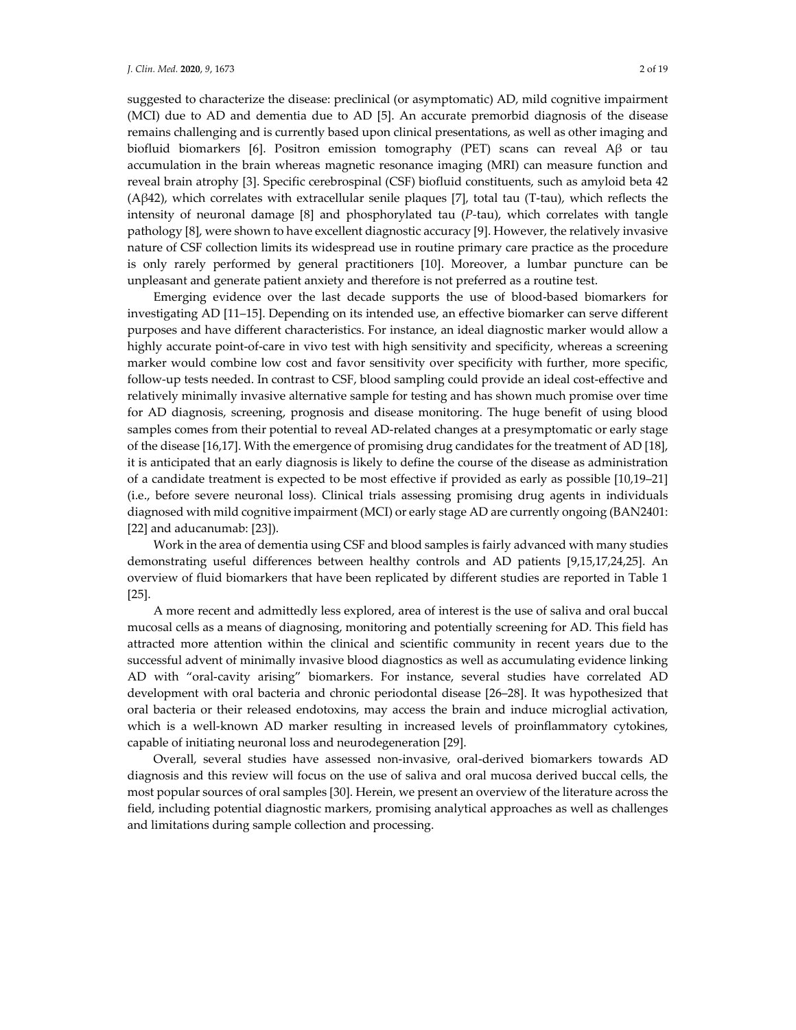suggested to characterize the disease: preclinical (or asymptomatic) AD, mild cognitive impairment (MCI) due to AD and dementia due to AD [5]. An accurate premorbid diagnosis of the disease remains challenging and is currently based upon clinical presentations, as well as other imaging and biofluid biomarkers [6]. Positron emission tomography (PET) scans can reveal Aβ or tau accumulation in the brain whereas magnetic resonance imaging (MRI) can measure function and reveal brain atrophy [3]. Specific cerebrospinal (CSF) biofluid constituents, such as amyloid beta 42 (A $\beta$ 42), which correlates with extracellular senile plaques [7], total tau (T-tau), which reflects the intensity of neuronal damage [8] and phosphorylated tau (*P‐*tau), which correlates with tangle pathology [8], were shown to have excellent diagnostic accuracy [9]. However, the relatively invasive nature of CSF collection limits its widespread use in routine primary care practice as the procedure is only rarely performed by general practitioners [10]. Moreover, a lumbar puncture can be unpleasant and generate patient anxiety and therefore is not preferred as a routine test.

Emerging evidence over the last decade supports the use of blood‐based biomarkers for investigating AD [11–15]. Depending on its intended use, an effective biomarker can serve different purposes and have different characteristics. For instance, an ideal diagnostic marker would allow a highly accurate point-of-care in vivo test with high sensitivity and specificity, whereas a screening marker would combine low cost and favor sensitivity over specificity with further, more specific, follow‐up tests needed. In contrast to CSF, blood sampling could provide an ideal cost‐effective and relatively minimally invasive alternative sample for testing and has shown much promise over time for AD diagnosis, screening, prognosis and disease monitoring. The huge benefit of using blood samples comes from their potential to reveal AD-related changes at a presymptomatic or early stage of the disease [16,17]. With the emergence of promising drug candidates for the treatment of AD [18], it is anticipated that an early diagnosis is likely to define the course of the disease as administration of a candidate treatment is expected to be most effective if provided as early as possible [10,19–21] (i.e., before severe neuronal loss). Clinical trials assessing promising drug agents in individuals diagnosed with mild cognitive impairment (MCI) or early stage AD are currently ongoing (BAN2401: [22] and aducanumab: [23]).

Work in the area of dementia using CSF and blood samples is fairly advanced with many studies demonstrating useful differences between healthy controls and AD patients [9,15,17,24,25]. An overview of fluid biomarkers that have been replicated by different studies are reported in Table 1 [25].

A more recent and admittedly less explored, area of interest is the use of saliva and oral buccal mucosal cells as a means of diagnosing, monitoring and potentially screening for AD. This field has attracted more attention within the clinical and scientific community in recent years due to the successful advent of minimally invasive blood diagnostics as well as accumulating evidence linking AD with "oral‐cavity arising" biomarkers. For instance, several studies have correlated AD development with oral bacteria and chronic periodontal disease [26–28]. It was hypothesized that oral bacteria or their released endotoxins, may access the brain and induce microglial activation, which is a well-known AD marker resulting in increased levels of proinflammatory cytokines, capable of initiating neuronal loss and neurodegeneration [29].

Overall, several studies have assessed non‐invasive, oral‐derived biomarkers towards AD diagnosis and this review will focus on the use of saliva and oral mucosa derived buccal cells, the most popular sources of oral samples [30]. Herein, we present an overview of the literature across the field, including potential diagnostic markers, promising analytical approaches as well as challenges and limitations during sample collection and processing.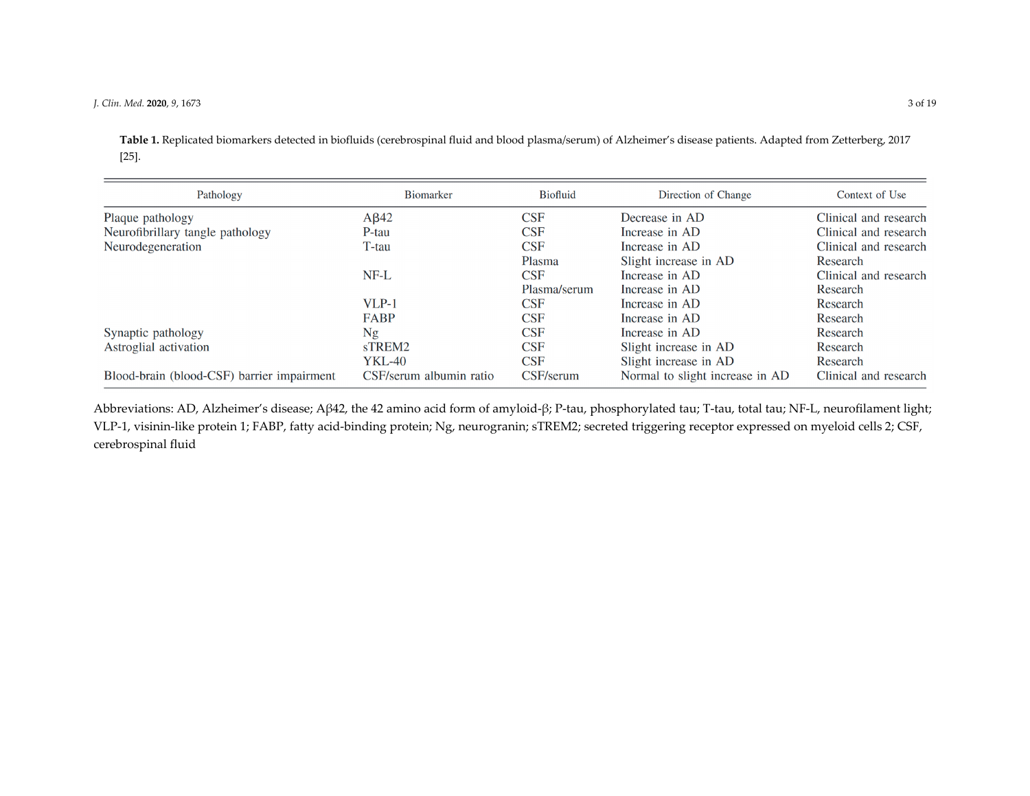**Table 1.** Replicated biomarkers detected in biofluids (cerebrospinal fluid and blood plasma/serum) of Alzheimer's disease patients. Adapted from Zetterberg, 2017 [25].

| Pathology                                  | <b>Biomarker</b>        | <b>Biofluid</b>         | Direction of Change             | Context of Use        |
|--------------------------------------------|-------------------------|-------------------------|---------------------------------|-----------------------|
| Plaque pathology                           | $A\beta$ 42             | <b>CSF</b>              | Decrease in AD                  | Clinical and research |
| Neurofibrillary tangle pathology           | P-tau                   | CSF                     | Increase in AD                  | Clinical and research |
| Neurodegeneration                          | T-tau                   | CSF                     | Increase in AD                  | Clinical and research |
|                                            |                         | Plasma                  | Slight increase in AD           | Research              |
|                                            | $NF-L$                  | CSF                     | Increase in AD                  | Clinical and research |
|                                            |                         | Plasma/serum            | Increase in AD                  | Research              |
|                                            | $VLP-1$                 | $\overline{\text{CSF}}$ | Increase in AD                  | Research              |
|                                            | FABP                    | <b>CSF</b>              | Increase in AD                  | Research              |
| Synaptic pathology                         | Ng                      | <b>CSF</b>              | Increase in AD                  | Research              |
| Astroglial activation                      | sTREM2                  | CSF                     | Slight increase in AD           | Research              |
|                                            | <b>YKL-40</b>           | <b>CSF</b>              | Slight increase in AD           | Research              |
| Blood-brain (blood-CSF) barrier impairment | CSF/serum albumin ratio | CSF/serum               | Normal to slight increase in AD | Clinical and research |

Abbreviations: AD, Alzheimer's disease; Aβ42, the <sup>42</sup> amino acid form of amyloid‐β; <sup>P</sup>‐tau, phosphorylated tau; <sup>T</sup>‐tau, total tau; NF‐L, neurofilament light; VLP‐1, visinin‐like protein 1; FABP, fatty acid‐binding protein; Ng, neurogranin; sTREM2; secreted triggering receptor expressed on myeloid cells 2; CSF, cerebrospinal fluid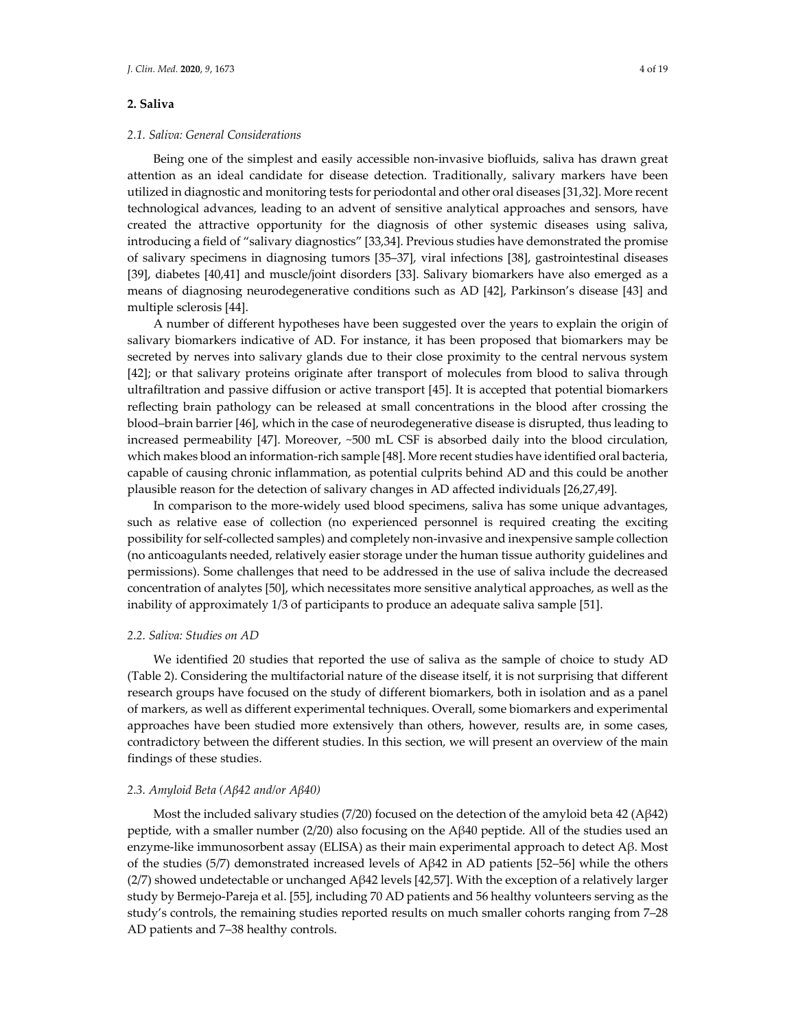# **2. Saliva**

Being one of the simplest and easily accessible non‐invasive biofluids, saliva has drawn great attention as an ideal candidate for disease detection. Traditionally, salivary markers have been utilized in diagnostic and monitoring tests for periodontal and other oral diseases [31,32]. More recent technological advances, leading to an advent of sensitive analytical approaches and sensors, have created the attractive opportunity for the diagnosis of other systemic diseases using saliva, introducing a field of "salivary diagnostics" [33,34]. Previous studies have demonstrated the promise of salivary specimens in diagnosing tumors [35–37], viral infections [38], gastrointestinal diseases [39], diabetes [40,41] and muscle/joint disorders [33]. Salivary biomarkers have also emerged as a means of diagnosing neurodegenerative conditions such as AD [42], Parkinson's disease [43] and multiple sclerosis [44].

A number of different hypotheses have been suggested over the years to explain the origin of salivary biomarkers indicative of AD. For instance, it has been proposed that biomarkers may be secreted by nerves into salivary glands due to their close proximity to the central nervous system [42]; or that salivary proteins originate after transport of molecules from blood to saliva through ultrafiltration and passive diffusion or active transport [45]. It is accepted that potential biomarkers reflecting brain pathology can be released at small concentrations in the blood after crossing the blood–brain barrier [46], which in the case of neurodegenerative disease is disrupted, thus leading to increased permeability [47]. Moreover, ~500 mL CSF is absorbed daily into the blood circulation, which makes blood an information‐rich sample [48]. More recent studies have identified oral bacteria, capable of causing chronic inflammation, as potential culprits behind AD and this could be another plausible reason for the detection of salivary changes in AD affected individuals [26,27,49].

In comparison to the more-widely used blood specimens, saliva has some unique advantages, such as relative ease of collection (no experienced personnel is required creating the exciting possibility for self‐collected samples) and completely non‐invasive and inexpensive sample collection (no anticoagulants needed, relatively easier storage under the human tissue authority guidelines and permissions). Some challenges that need to be addressed in the use of saliva include the decreased concentration of analytes [50], which necessitates more sensitive analytical approaches, as well as the inability of approximately 1/3 of participants to produce an adequate saliva sample [51].

# *2.2. Saliva: Studies on AD*

We identified 20 studies that reported the use of saliva as the sample of choice to study AD (Table 2). Considering the multifactorial nature of the disease itself, it is not surprising that different research groups have focused on the study of different biomarkers, both in isolation and as a panel of markers, as well as different experimental techniques. Overall, some biomarkers and experimental approaches have been studied more extensively than others, however, results are, in some cases, contradictory between the different studies. In this section, we will present an overview of the main findings of these studies.

#### *2.3. Amyloid Beta (Aβ42 and/or Aβ40)*

Most the included salivary studies (7/20) focused on the detection of the amyloid beta 42 (Aβ42) peptide, with a smaller number (2/20) also focusing on the Aβ40 peptide. All of the studies used an enzyme‐like immunosorbent assay (ELISA) as their main experimental approach to detect Aβ. Most of the studies (5/7) demonstrated increased levels of Aβ42 in AD patients [52–56] while the others (2/7) showed undetectable or unchanged Aβ42 levels [42,57]. With the exception of a relatively larger study by Bermejo‐Pareja et al. [55], including 70 AD patients and 56 healthy volunteers serving as the study's controls, the remaining studies reported results on much smaller cohorts ranging from 7–28 AD patients and 7–38 healthy controls.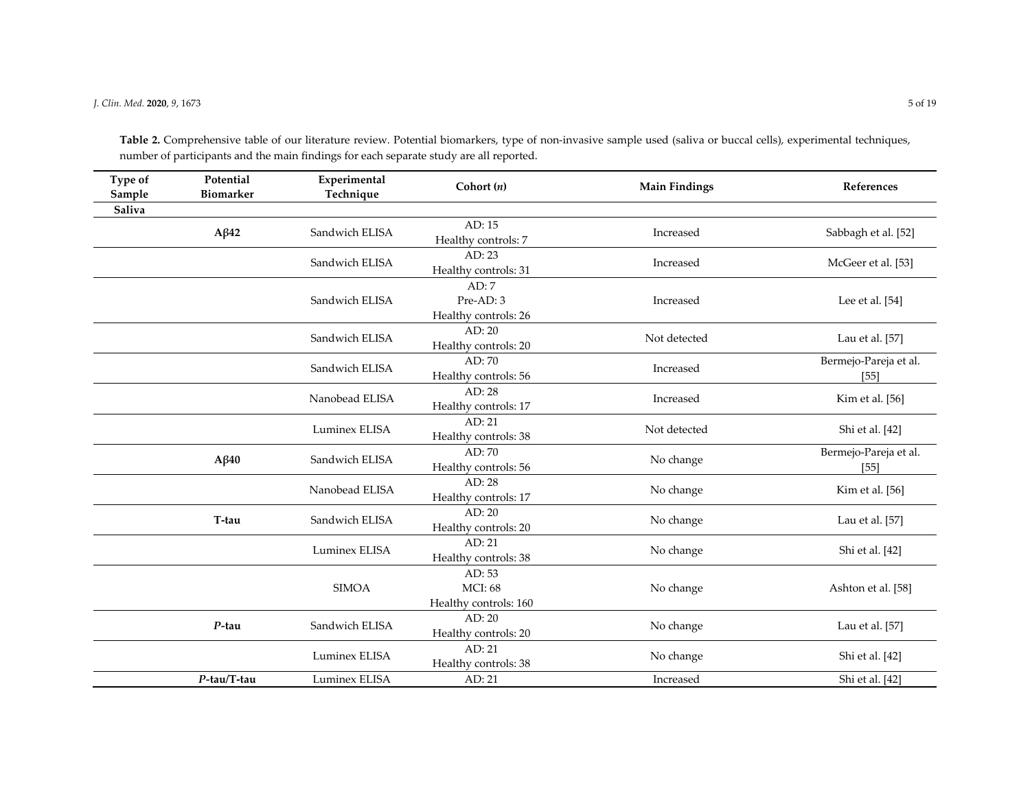**Type of Sample Potential BiomarkerExperimental Technique Cohort (***n***) Main Findings References Saliva Aβ<sup>42</sup>** Sandwich ELISA AD: 15 AD: 15 Increased Sabbagh et al. [52] Sandwich ELISAAD: 23 AD: 23 Increased McGeer et al. [53] Sandwich ELISAAD: 7Pre‐AD: 3Healthy controls: 26 Increased Lee et al. [54] Sandwich ELISAAD: 20 AD: 20 Not detected Lau et al. [57] AD: 20 Not detected Lau et al. [57] Sandwich ELISAAD: 70 AD: 70 AD: 70 AD: 70 AD: 70 AD: 70 Bermejo‐Pareja et al.<br>Increased Bermejo‐Pareja et al. [55] Nanobead ELISAAD: 28 AD: 28 Increased Kim et al. [56] Luminex ELISAAD: 21 AD: 21 AD: 21 Not detected Shi et al. [42] **Aβ<sup>40</sup>** Sandwich ELISA AD: 70 AD: 70<br>Healthy controls: 56 No change Bermejo-Pareja et al. Nanobead ELISAAD: 28 AD: 28 No change Kim et al. [56] AB: 28 No change Kim et al. [56] **T‐tau** Sandwich ELISAAD: 20 AD: 20 No change Lau et al. [57]<br>Healthy controls: 20 No change Lau et al. [57] Luminex ELISAAD: 21 AD: 21 No change Shi et al. [42] No change Shi et al. [42] SIMOAAD: 53 MCI: 68Healthy controls: 160 No change Ashton et al. [58] *P‐***tau** Sandwich ELISAAD: 20 AD: 20 No change Lau et al. [57]<br>Healthy controls: 20 No change Lau et al. [57] Luminex ELISAAD: 21 AD: 21 No change Shi et al. [42] No change Shi et al. [42] *P‐***tau/T‐tau** Luminex ELISAAD: 21 Increased Shi et al. [42]

**Table 2.** Comprehensive table of our literature review. Potential biomarkers, type of non‐invasive sample used (saliva or buccal cells), experimental techniques, number of participants and the main findings for each separate study are all reported.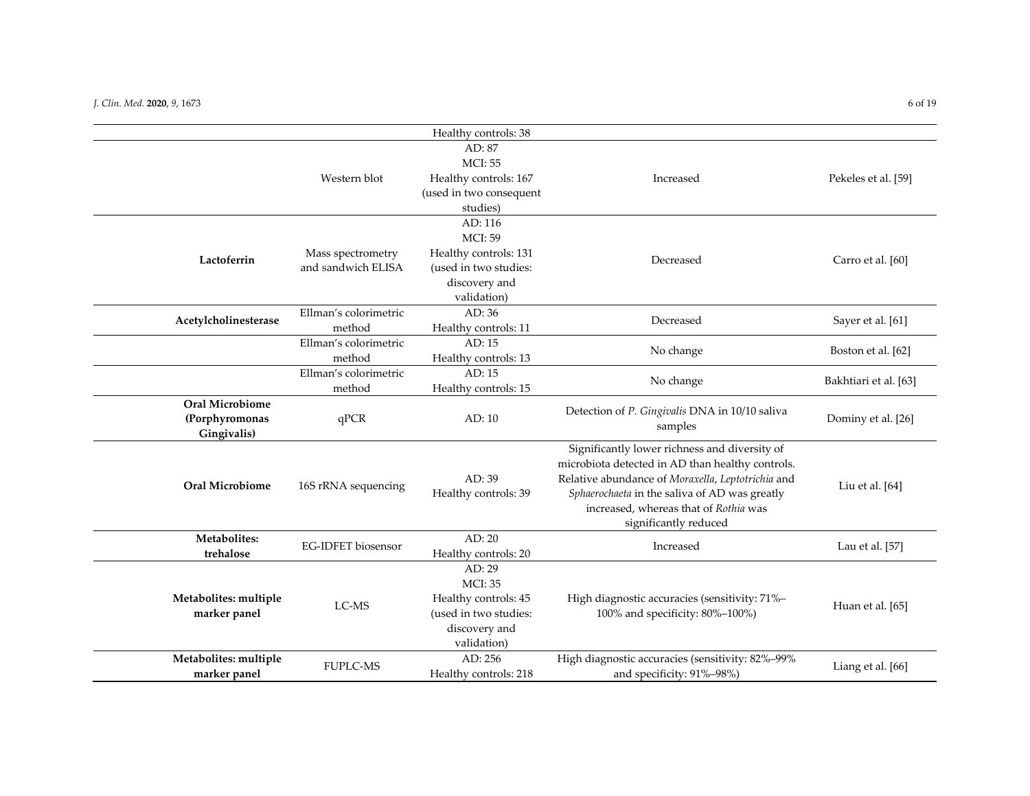|                                                         |                                         | Healthy controls: 38                                                                                        |                                                                                                                                                                                                                                                                           |                       |
|---------------------------------------------------------|-----------------------------------------|-------------------------------------------------------------------------------------------------------------|---------------------------------------------------------------------------------------------------------------------------------------------------------------------------------------------------------------------------------------------------------------------------|-----------------------|
|                                                         | Western blot                            | AD: 87<br><b>MCI: 55</b><br>Healthy controls: 167<br>(used in two consequent<br>studies)                    | Increased                                                                                                                                                                                                                                                                 | Pekeles et al. [59]   |
| Lactoferrin                                             | Mass spectrometry<br>and sandwich ELISA | AD: 116<br><b>MCI: 59</b><br>Healthy controls: 131<br>(used in two studies:<br>discovery and<br>validation) | Decreased                                                                                                                                                                                                                                                                 | Carro et al. [60]     |
| Acetylcholinesterase                                    | Ellman's colorimetric<br>method         | AD: 36<br>Healthy controls: 11                                                                              | Decreased                                                                                                                                                                                                                                                                 | Sayer et al. [61]     |
|                                                         | Ellman's colorimetric<br>method         | AD:15<br>Healthy controls: 13                                                                               | No change                                                                                                                                                                                                                                                                 | Boston et al. [62]    |
|                                                         | Ellman's colorimetric<br>method         | AD: 15<br>Healthy controls: 15                                                                              | No change                                                                                                                                                                                                                                                                 | Bakhtiari et al. [63] |
| <b>Oral Microbiome</b><br>(Porphyromonas<br>Gingivalis) | qPCR                                    | AD: 10                                                                                                      | Detection of P. Gingivalis DNA in 10/10 saliva<br>samples                                                                                                                                                                                                                 | Dominy et al. [26]    |
| <b>Oral Microbiome</b>                                  | 16S rRNA sequencing                     | AD:39<br>Healthy controls: 39                                                                               | Significantly lower richness and diversity of<br>microbiota detected in AD than healthy controls.<br>Relative abundance of Moraxella, Leptotrichia and<br>Sphaerochaeta in the saliva of AD was greatly<br>increased, whereas that of Rothia was<br>significantly reduced | Liu et al. [64]       |
| Metabolites:<br>trehalose                               | <b>EG-IDFET</b> biosensor               | AD: 20<br>Healthy controls: 20                                                                              | Increased                                                                                                                                                                                                                                                                 | Lau et al. [57]       |
| Metabolites: multiple<br>marker panel                   | LC-MS                                   | AD: 29<br><b>MCI: 35</b><br>Healthy controls: 45<br>(used in two studies:<br>discovery and<br>validation)   | High diagnostic accuracies (sensitivity: 71%-<br>100% and specificity: 80%-100%)                                                                                                                                                                                          | Huan et al. [65]      |
| Metabolites: multiple<br>marker panel                   | <b>FUPLC-MS</b>                         | AD: 256<br>Healthy controls: 218                                                                            | High diagnostic accuracies (sensitivity: 82%-99%<br>and specificity: 91%-98%)                                                                                                                                                                                             | Liang et al. [66]     |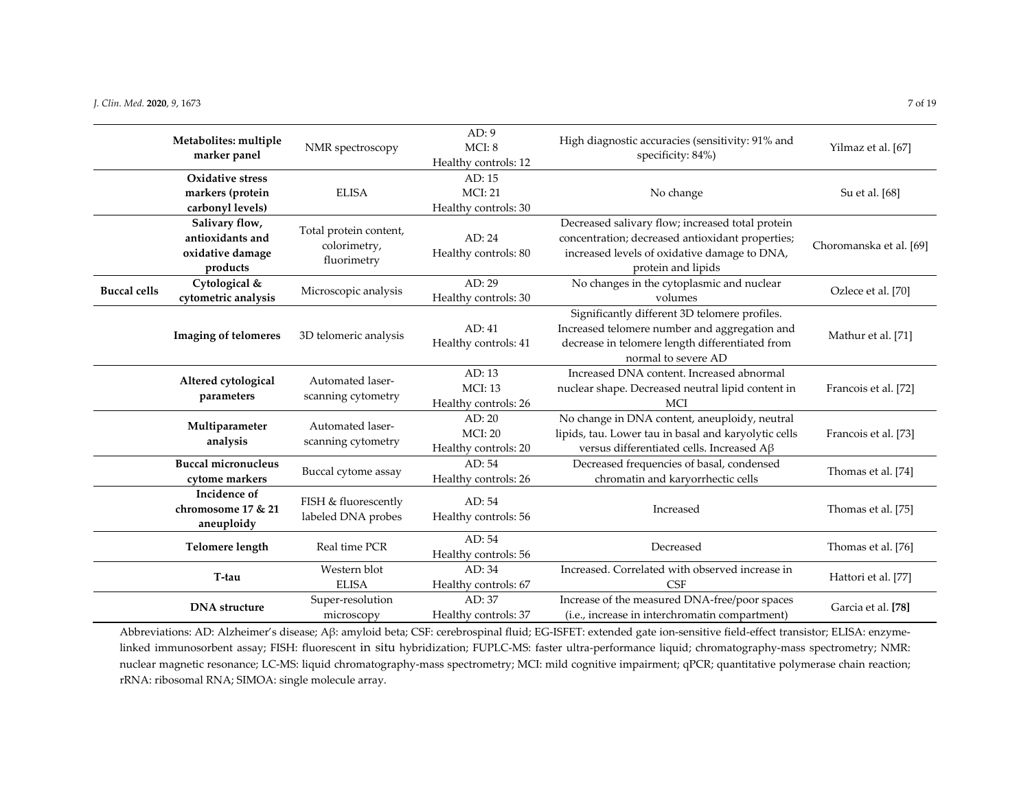|                     | Metabolites: multiple<br>marker panel                              | NMR spectroscopy                                      | AD:9<br>MCI: 8<br>Healthy controls: 12           | High diagnostic accuracies (sensitivity: 91% and<br>specificity: 84%)                                                                                                      | Yilmaz et al. [67]      |
|---------------------|--------------------------------------------------------------------|-------------------------------------------------------|--------------------------------------------------|----------------------------------------------------------------------------------------------------------------------------------------------------------------------------|-------------------------|
|                     | Oxidative stress<br>markers (protein                               | <b>ELISA</b>                                          | AD: 15<br><b>MCI: 21</b>                         | No change                                                                                                                                                                  | Su et al. [68]          |
|                     | carbonyl levels)                                                   |                                                       | Healthy controls: 30                             |                                                                                                                                                                            |                         |
|                     | Salivary flow,<br>antioxidants and<br>oxidative damage<br>products | Total protein content,<br>colorimetry,<br>fluorimetry | AD: 24<br>Healthy controls: 80                   | Decreased salivary flow; increased total protein<br>concentration; decreased antioxidant properties;<br>increased levels of oxidative damage to DNA,<br>protein and lipids | Choromanska et al. [69] |
| <b>Buccal cells</b> | Cytological &<br>cytometric analysis                               | Microscopic analysis                                  | AD: 29<br>Healthy controls: 30                   | No changes in the cytoplasmic and nuclear<br>volumes                                                                                                                       | Ozlece et al. [70]      |
|                     | <b>Imaging of telomeres</b>                                        | 3D telomeric analysis                                 | AD: 41<br>Healthy controls: 41                   | Significantly different 3D telomere profiles.<br>Increased telomere number and aggregation and<br>decrease in telomere length differentiated from<br>normal to severe AD   | Mathur et al. [71]      |
|                     | Altered cytological<br>parameters                                  | Automated laser-<br>scanning cytometry                | AD: 13<br><b>MCI: 13</b><br>Healthy controls: 26 | Increased DNA content. Increased abnormal<br>nuclear shape. Decreased neutral lipid content in<br>MCI                                                                      | Francois et al. [72]    |
|                     | Multiparameter<br>analysis                                         | Automated laser-<br>scanning cytometry                | AD: 20<br><b>MCI: 20</b><br>Healthy controls: 20 | No change in DNA content, aneuploidy, neutral<br>lipids, tau. Lower tau in basal and karyolytic cells<br>versus differentiated cells. Increased Aß                         | Francois et al. [73]    |
|                     | <b>Buccal micronucleus</b><br>cytome markers                       | Buccal cytome assay                                   | AD: 54<br>Healthy controls: 26                   | Decreased frequencies of basal, condensed<br>chromatin and karyorrhectic cells                                                                                             | Thomas et al. [74]      |
|                     | Incidence of<br>chromosome 17 & 21<br>aneuploidy                   | FISH & fluorescently<br>labeled DNA probes            | AD: 54<br>Healthy controls: 56                   | Increased                                                                                                                                                                  | Thomas et al. [75]      |
|                     | <b>Telomere length</b>                                             | Real time PCR                                         | AD: 54<br>Healthy controls: 56                   | Decreased                                                                                                                                                                  | Thomas et al. [76]      |
|                     | T-tau                                                              | Western blot<br><b>ELISA</b>                          | AD:34<br>Healthy controls: 67                    | Increased. Correlated with observed increase in<br>CSF                                                                                                                     | Hattori et al. [77]     |
|                     | <b>DNA</b> structure                                               | Super-resolution<br>microscopy                        | AD: 37<br>Healthy controls: 37                   | Increase of the measured DNA-free/poor spaces<br>(i.e., increase in interchromatin compartment)                                                                            | Garcia et al. [78]      |

Abbreviations: AD: Alzheimer's disease; Aβ: amyloid beta; CSF: cerebrospinal fluid; EG-ISFET: extended gate ion-sensitive field-effect transistor; ELISA: enzymelinked immunosorbent assay; FISH: fluorescent in situ hybridization; FUPLC‐MS: faster ultra‐performance liquid; chromatography‐mass spectrometry; NMR: nuclear magnetic resonance; LC‐MS: liquid chromatography‐mass spectrometry; MCI: mild cognitive impairment; qPCR; quantitative polymerase chain reaction; rRNA: ribosomal RNA; SIMOA: single molecule array.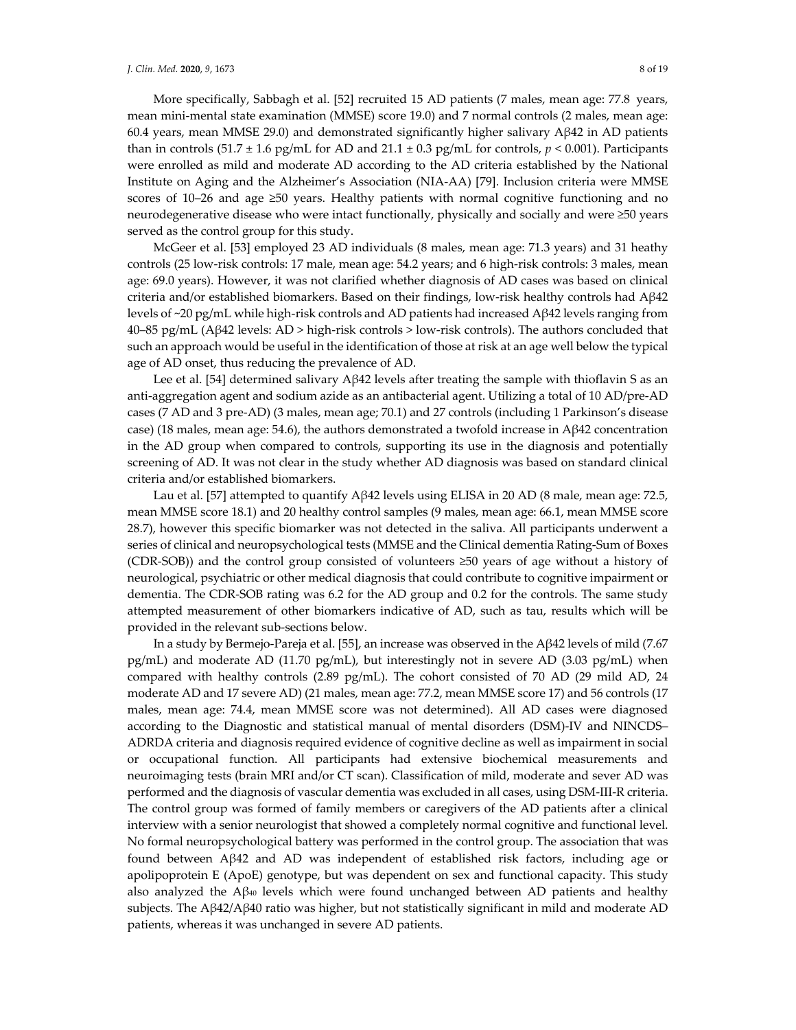More specifically, Sabbagh et al. [52] recruited 15 AD patients (7 males, mean age: 77.8  years, mean mini-mental state examination (MMSE) score 19.0) and 7 normal controls (2 males, mean age: 60.4 years, mean MMSE 29.0) and demonstrated significantly higher salivary Aβ42 in AD patients than in controls  $(51.7 \pm 1.6 \text{ pg/mL}$  for AD and  $21.1 \pm 0.3 \text{ pg/mL}$  for controls,  $p < 0.001$ ). Participants were enrolled as mild and moderate AD according to the AD criteria established by the National Institute on Aging and the Alzheimer's Association (NIA‐AA) [79]. Inclusion criteria were MMSE scores of  $10-26$  and age  $\geq 50$  years. Healthy patients with normal cognitive functioning and no neurodegenerative disease who were intact functionally, physically and socially and were ≥50 years served as the control group for this study.

McGeer et al. [53] employed 23 AD individuals (8 males, mean age: 71.3 years) and 31 heathy controls (25 low-risk controls: 17 male, mean age: 54.2 years; and 6 high-risk controls: 3 males, mean age: 69.0 years). However, it was not clarified whether diagnosis of AD cases was based on clinical criteria and/or established biomarkers. Based on their findings, low‐risk healthy controls had Aβ42 levels of ~20 pg/mL while high‐risk controls and AD patients had increased Aβ42 levels ranging from 40–85 pg/mL (Aβ42 levels: AD > high‐risk controls > low‐risk controls). The authors concluded that such an approach would be useful in the identification of those at risk at an age well below the typical age of AD onset, thus reducing the prevalence of AD.

Lee et al. [54] determined salivary Aβ42 levels after treating the sample with thioflavin S as an anti-aggregation agent and sodium azide as an antibacterial agent. Utilizing a total of 10 AD/pre-AD cases (7 AD and 3 pre‐AD) (3 males, mean age; 70.1) and 27 controls (including 1 Parkinson's disease case) (18 males, mean age: 54.6), the authors demonstrated a twofold increase in Aβ42 concentration in the AD group when compared to controls, supporting its use in the diagnosis and potentially screening of AD. It was not clear in the study whether AD diagnosis was based on standard clinical criteria and/or established biomarkers.

Lau et al. [57] attempted to quantify Aβ42 levels using ELISA in 20 AD (8 male, mean age: 72.5, mean MMSE score 18.1) and 20 healthy control samples (9 males, mean age: 66.1, mean MMSE score 28.7), however this specific biomarker was not detected in the saliva. All participants underwent a series of clinical and neuropsychological tests (MMSE and the Clinical dementia Rating‐Sum of Boxes (CDR‐SOB)) and the control group consisted of volunteers ≥50 years of age without a history of neurological, psychiatric or other medical diagnosis that could contribute to cognitive impairment or dementia. The CDR‐SOB rating was 6.2 for the AD group and 0.2 for the controls. The same study attempted measurement of other biomarkers indicative of AD, such as tau, results which will be provided in the relevant sub‐sections below.

In a study by Bermejo-Pareja et al. [55], an increase was observed in the A $\beta$ 42 levels of mild (7.67) pg/mL) and moderate AD (11.70 pg/mL), but interestingly not in severe AD (3.03 pg/mL) when compared with healthy controls (2.89 pg/mL). The cohort consisted of 70 AD (29 mild AD, 24 moderate AD and 17 severe AD) (21 males, mean age: 77.2, mean MMSE score 17) and 56 controls (17 males, mean age: 74.4, mean MMSE score was not determined). All AD cases were diagnosed according to the Diagnostic and statistical manual of mental disorders (DSM)‐IV and NINCDS– ADRDA criteria and diagnosis required evidence of cognitive decline as well as impairment in social or occupational function. All participants had extensive biochemical measurements and neuroimaging tests (brain MRI and/or CT scan). Classification of mild, moderate and sever AD was performed and the diagnosis of vascular dementia was excluded in all cases, using DSM‐III‐R criteria. The control group was formed of family members or caregivers of the AD patients after a clinical interview with a senior neurologist that showed a completely normal cognitive and functional level. No formal neuropsychological battery was performed in the control group. The association that was found between Aβ42 and AD was independent of established risk factors, including age or apolipoprotein E (ApoE) genotype, but was dependent on sex and functional capacity. This study also analyzed the  $A\beta_{40}$  levels which were found unchanged between AD patients and healthy subjects. The Aβ42/Aβ40 ratio was higher, but not statistically significant in mild and moderate AD patients, whereas it was unchanged in severe AD patients.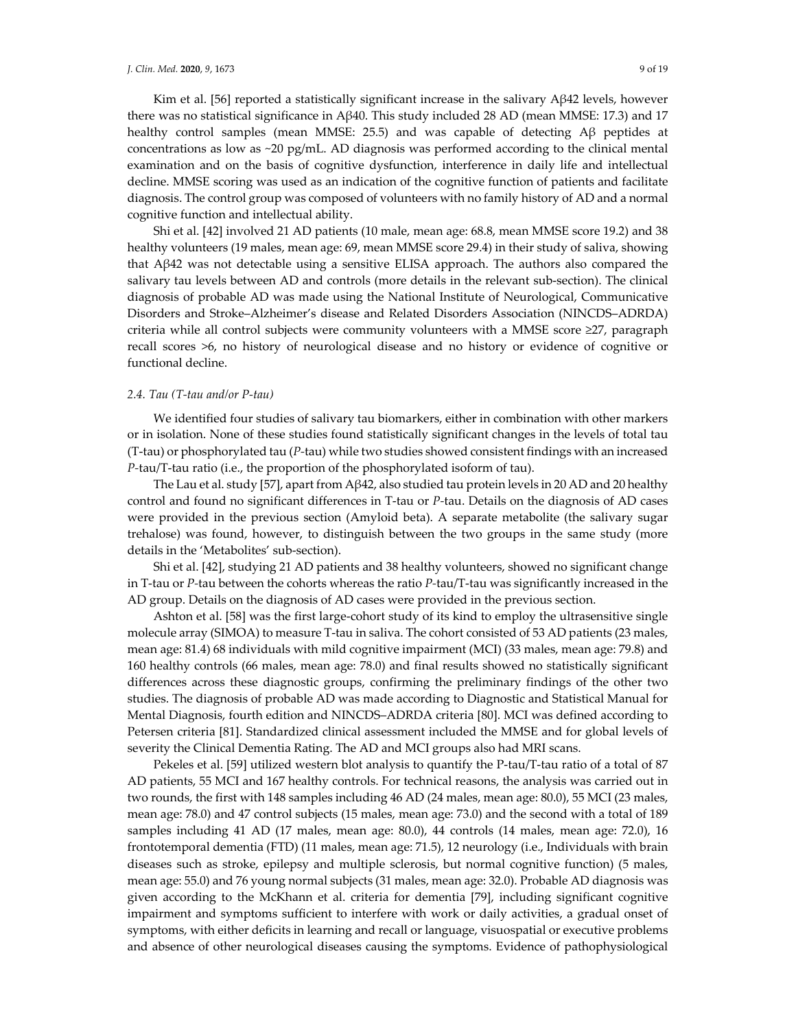Kim et al. [56] reported a statistically significant increase in the salivary Aβ42 levels, however there was no statistical significance in Aβ40. This study included 28 AD (mean MMSE: 17.3) and 17 healthy control samples (mean MMSE: 25.5) and was capable of detecting Aβ peptides at concentrations as low as  $\sim$ 20 pg/mL. AD diagnosis was performed according to the clinical mental examination and on the basis of cognitive dysfunction, interference in daily life and intellectual decline. MMSE scoring was used as an indication of the cognitive function of patients and facilitate diagnosis. The control group was composed of volunteers with no family history of AD and a normal cognitive function and intellectual ability.

Shi et al. [42] involved 21 AD patients (10 male, mean age: 68.8, mean MMSE score 19.2) and 38 healthy volunteers (19 males, mean age: 69, mean MMSE score 29.4) in their study of saliva, showing that Aβ42 was not detectable using a sensitive ELISA approach. The authors also compared the salivary tau levels between AD and controls (more details in the relevant sub-section). The clinical diagnosis of probable AD was made using the National Institute of Neurological, Communicative Disorders and Stroke–Alzheimer's disease and Related Disorders Association (NINCDS–ADRDA) criteria while all control subjects were community volunteers with a MMSE score  $\geq$ 27, paragraph recall scores >6, no history of neurological disease and no history or evidence of cognitive or functional decline.

# *2.4. Tau (T‐tau and/or P‐tau)*

We identified four studies of salivary tau biomarkers, either in combination with other markers or in isolation. None of these studies found statistically significant changes in the levels of total tau (T‐tau) or phosphorylated tau (*P‐*tau) while two studies showed consistent findings with an increased *P‐*tau/T‐tau ratio (i.e., the proportion of the phosphorylated isoform of tau).

The Lau et al. study [57], apart from Aβ42, also studied tau protein levels in 20 AD and 20 healthy control and found no significant differences in T‐tau or *P‐*tau. Details on the diagnosis of AD cases were provided in the previous section (Amyloid beta). A separate metabolite (the salivary sugar trehalose) was found, however, to distinguish between the two groups in the same study (more details in the 'Metabolites' sub‐section).

Shi et al. [42], studying 21 AD patients and 38 healthy volunteers, showed no significant change in T‐tau or *P‐*tau between the cohorts whereas the ratio *P‐*tau/T‐tau was significantly increased in the AD group. Details on the diagnosis of AD cases were provided in the previous section.

Ashton et al. [58] was the first large‐cohort study of its kind to employ the ultrasensitive single molecule array (SIMOA) to measure T-tau in saliva. The cohort consisted of 53 AD patients (23 males, mean age: 81.4) 68 individuals with mild cognitive impairment (MCI) (33 males, mean age: 79.8) and 160 healthy controls (66 males, mean age: 78.0) and final results showed no statistically significant differences across these diagnostic groups, confirming the preliminary findings of the other two studies. The diagnosis of probable AD was made according to Diagnostic and Statistical Manual for Mental Diagnosis, fourth edition and NINCDS–ADRDA criteria [80]. MCI was defined according to Petersen criteria [81]. Standardized clinical assessment included the MMSE and for global levels of severity the Clinical Dementia Rating. The AD and MCI groups also had MRI scans.

Pekeles et al. [59] utilized western blot analysis to quantify the P‐tau/T‐tau ratio of a total of 87 AD patients, 55 MCI and 167 healthy controls. For technical reasons, the analysis was carried out in two rounds, the first with 148 samples including 46 AD (24 males, mean age: 80.0), 55 MCI (23 males, mean age: 78.0) and 47 control subjects (15 males, mean age: 73.0) and the second with a total of 189 samples including 41 AD (17 males, mean age: 80.0), 44 controls (14 males, mean age: 72.0), 16 frontotemporal dementia (FTD) (11 males, mean age: 71.5), 12 neurology (i.e., Individuals with brain diseases such as stroke, epilepsy and multiple sclerosis, but normal cognitive function) (5 males, mean age: 55.0) and 76 young normal subjects (31 males, mean age: 32.0). Probable AD diagnosis was given according to the McKhann et al. criteria for dementia [79], including significant cognitive impairment and symptoms sufficient to interfere with work or daily activities, a gradual onset of symptoms, with either deficits in learning and recall or language, visuospatial or executive problems and absence of other neurological diseases causing the symptoms. Evidence of pathophysiological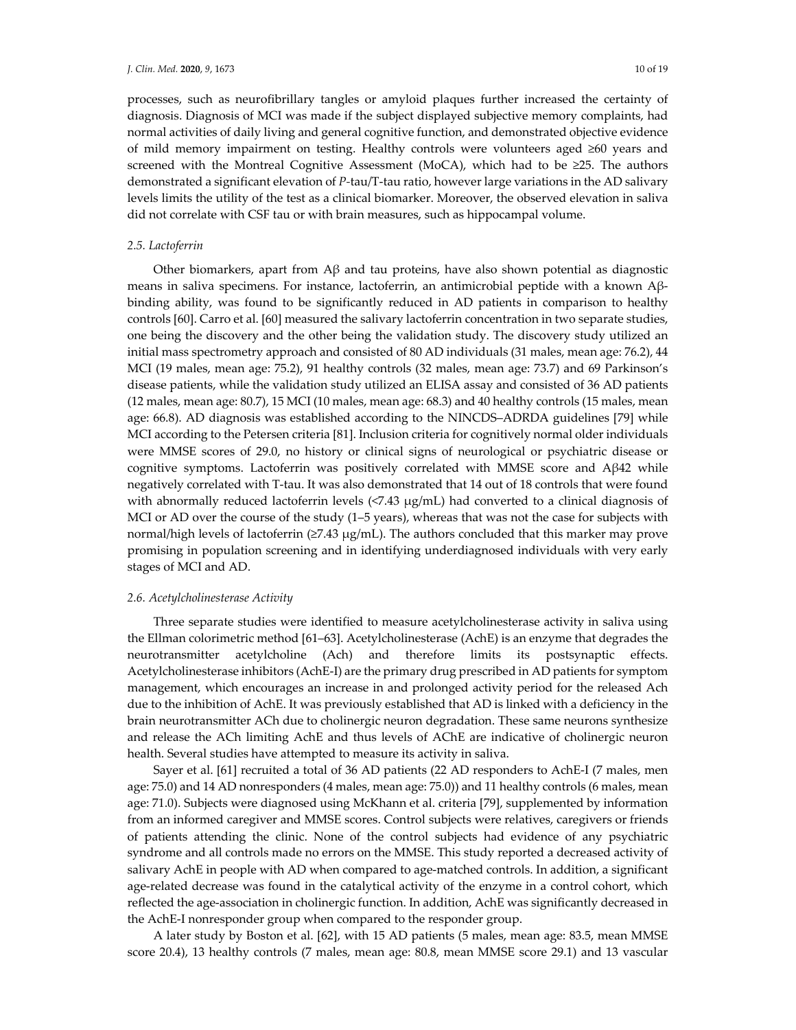processes, such as neurofibrillary tangles or amyloid plaques further increased the certainty of diagnosis. Diagnosis of MCI was made if the subject displayed subjective memory complaints, had normal activities of daily living and general cognitive function, and demonstrated objective evidence of mild memory impairment on testing. Healthy controls were volunteers aged ≥60 years and screened with the Montreal Cognitive Assessment (MoCA), which had to be ≥25. The authors demonstrated a significant elevation of *P‐*tau/T‐tau ratio, however large variations in the AD salivary levels limits the utility of the test as a clinical biomarker. Moreover, the observed elevation in saliva did not correlate with CSF tau or with brain measures, such as hippocampal volume.

#### *2.5. Lactoferrin*

Other biomarkers, apart from  $\beta$  and tau proteins, have also shown potential as diagnostic means in saliva specimens. For instance, lactoferrin, an antimicrobial peptide with a known Aβbinding ability, was found to be significantly reduced in AD patients in comparison to healthy controls [60]. Carro et al. [60] measured the salivary lactoferrin concentration in two separate studies, one being the discovery and the other being the validation study. The discovery study utilized an initial mass spectrometry approach and consisted of 80 AD individuals (31 males, mean age: 76.2), 44 MCI (19 males, mean age: 75.2), 91 healthy controls (32 males, mean age: 73.7) and 69 Parkinson's disease patients, while the validation study utilized an ELISA assay and consisted of 36 AD patients (12 males, mean age: 80.7), 15 MCI (10 males, mean age: 68.3) and 40 healthy controls (15 males, mean age: 66.8). AD diagnosis was established according to the NINCDS–ADRDA guidelines [79] while MCI according to the Petersen criteria [81]. Inclusion criteria for cognitively normal older individuals were MMSE scores of 29.0, no history or clinical signs of neurological or psychiatric disease or cognitive symptoms. Lactoferrin was positively correlated with MMSE score and Aβ42 while negatively correlated with T‐tau. It was also demonstrated that 14 out of 18 controls that were found with abnormally reduced lactoferrin levels (<7.43 μg/mL) had converted to a clinical diagnosis of MCI or AD over the course of the study (1–5 years), whereas that was not the case for subjects with normal/high levels of lactoferrin (≥7.43 μg/mL). The authors concluded that this marker may prove promising in population screening and in identifying underdiagnosed individuals with very early stages of MCI and AD.

### *2.6. Acetylcholinesterase Activity*

Three separate studies were identified to measure acetylcholinesterase activity in saliva using the Ellman colorimetric method [61–63]. Acetylcholinesterase (AchE) is an enzyme that degrades the neurotransmitter acetylcholine (Ach) and therefore limits its postsynaptic effects. Acetylcholinesterase inhibitors (AchE‐I) are the primary drug prescribed in AD patients for symptom management, which encourages an increase in and prolonged activity period for the released Ach due to the inhibition of AchE. It was previously established that AD is linked with a deficiency in the brain neurotransmitter ACh due to cholinergic neuron degradation. These same neurons synthesize and release the ACh limiting AchE and thus levels of AChE are indicative of cholinergic neuron health. Several studies have attempted to measure its activity in saliva.

Sayer et al. [61] recruited a total of 36 AD patients (22 AD responders to AchE‐I (7 males, men age: 75.0) and 14 AD nonresponders (4 males, mean age: 75.0)) and 11 healthy controls (6 males, mean age: 71.0). Subjects were diagnosed using McKhann et al. criteria [79], supplemented by information from an informed caregiver and MMSE scores. Control subjects were relatives, caregivers or friends of patients attending the clinic. None of the control subjects had evidence of any psychiatric syndrome and all controls made no errors on the MMSE. This study reported a decreased activity of salivary AchE in people with AD when compared to age-matched controls. In addition, a significant age-related decrease was found in the catalytical activity of the enzyme in a control cohort, which reflected the age‐association in cholinergic function. In addition, AchE was significantly decreased in the AchE‐I nonresponder group when compared to the responder group.

A later study by Boston et al. [62], with 15 AD patients (5 males, mean age: 83.5, mean MMSE score 20.4), 13 healthy controls (7 males, mean age: 80.8, mean MMSE score 29.1) and 13 vascular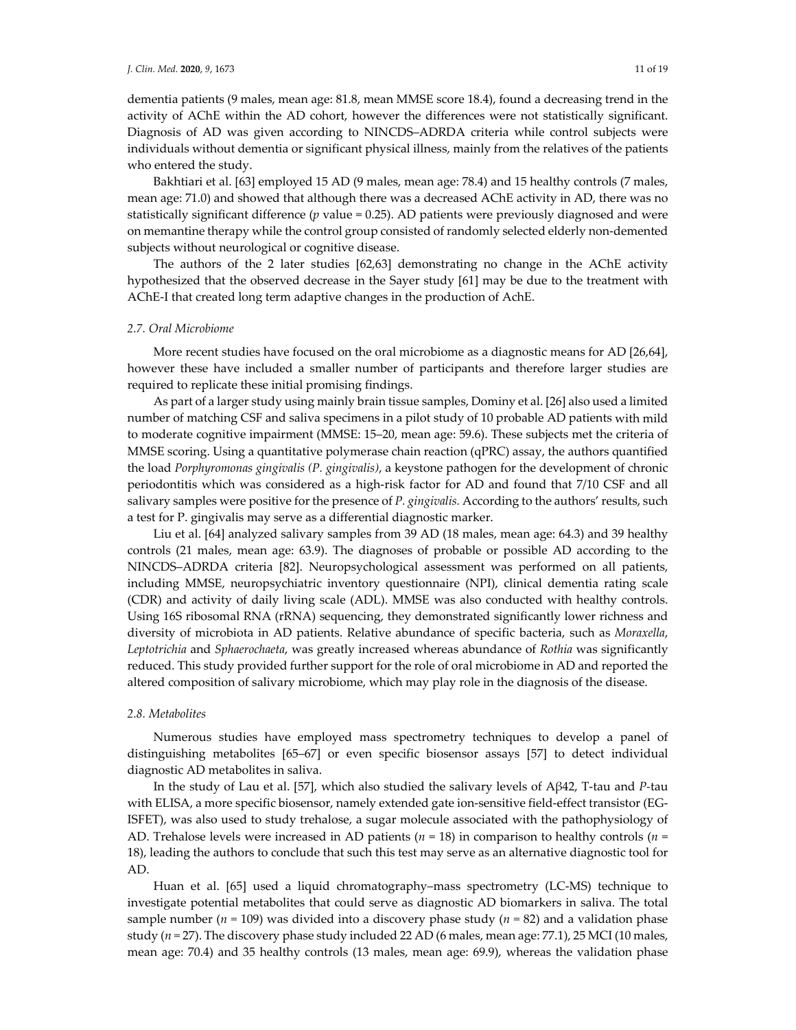dementia patients (9 males, mean age: 81.8, mean MMSE score 18.4), found a decreasing trend in the activity of AChE within the AD cohort, however the differences were not statistically significant. Diagnosis of AD was given according to NINCDS–ADRDA criteria while control subjects were individuals without dementia or significant physical illness, mainly from the relatives of the patients who entered the study.

Bakhtiari et al. [63] employed 15 AD (9 males, mean age: 78.4) and 15 healthy controls (7 males, mean age: 71.0) and showed that although there was a decreased AChE activity in AD, there was no statistically significant difference (*p* value = 0.25). AD patients were previously diagnosed and were on memantine therapy while the control group consisted of randomly selected elderly non‐demented subjects without neurological or cognitive disease.

The authors of the 2 later studies [62,63] demonstrating no change in the AChE activity hypothesized that the observed decrease in the Sayer study [61] may be due to the treatment with AChE‐I that created long term adaptive changes in the production of AchE.

#### *2.7. Oral Microbiome*

More recent studies have focused on the oral microbiome as a diagnostic means for AD [26,64], however these have included a smaller number of participants and therefore larger studies are required to replicate these initial promising findings.

As part of a larger study using mainly brain tissue samples, Dominy et al. [26] also used a limited number of matching CSF and saliva specimens in a pilot study of 10 probable AD patients with mild to moderate cognitive impairment (MMSE: 15–20, mean age: 59.6). These subjects met the criteria of MMSE scoring. Using a quantitative polymerase chain reaction (qPRC) assay, the authors quantified the load *Porphyromonas gingivalis (P. gingivalis)*, a keystone pathogen for the development of chronic periodontitis which was considered as a high‐risk factor for AD and found that 7/10 CSF and all salivary samples were positive for the presence of *P. gingivalis*. According to the authors' results, such a test for P. gingivalis may serve as a differential diagnostic marker.

Liu et al. [64] analyzed salivary samples from 39 AD (18 males, mean age: 64.3) and 39 healthy controls (21 males, mean age: 63.9). The diagnoses of probable or possible AD according to the NINCDS–ADRDA criteria [82]. Neuropsychological assessment was performed on all patients, including MMSE, neuropsychiatric inventory questionnaire (NPI), clinical dementia rating scale (CDR) and activity of daily living scale (ADL). MMSE was also conducted with healthy controls. Using 16S ribosomal RNA (rRNA) sequencing, they demonstrated significantly lower richness and diversity of microbiota in AD patients. Relative abundance of specific bacteria, such as *Moraxella*, *Leptotrichia* and *Sphaerochaeta*, was greatly increased whereas abundance of *Rothia* was significantly reduced. This study provided further support for the role of oral microbiome in AD and reported the altered composition of salivary microbiome, which may play role in the diagnosis of the disease.

# *2.8. Metabolites*

Numerous studies have employed mass spectrometry techniques to develop a panel of distinguishing metabolites [65–67] or even specific biosensor assays [57] to detect individual diagnostic AD metabolites in saliva.

In the study of Lau et al. [57], which also studied the salivary levels of Aβ42, Τ‐tau and *P‐*tau with ELISA, a more specific biosensor, namely extended gate ion-sensitive field-effect transistor (EG-ISFET), was also used to study trehalose, a sugar molecule associated with the pathophysiology of AD. Trehalose levels were increased in AD patients (*n* = 18) in comparison to healthy controls (*n* = 18), leading the authors to conclude that such this test may serve as an alternative diagnostic tool for AD.

Huan et al. [65] used a liquid chromatography–mass spectrometry (LC‐MS) technique to investigate potential metabolites that could serve as diagnostic AD biomarkers in saliva. The total sample number ( $n = 109$ ) was divided into a discovery phase study ( $n = 82$ ) and a validation phase study ( $n = 27$ ). The discovery phase study included 22 AD (6 males, mean age: 77.1), 25 MCI (10 males, mean age: 70.4) and 35 healthy controls (13 males, mean age: 69.9), whereas the validation phase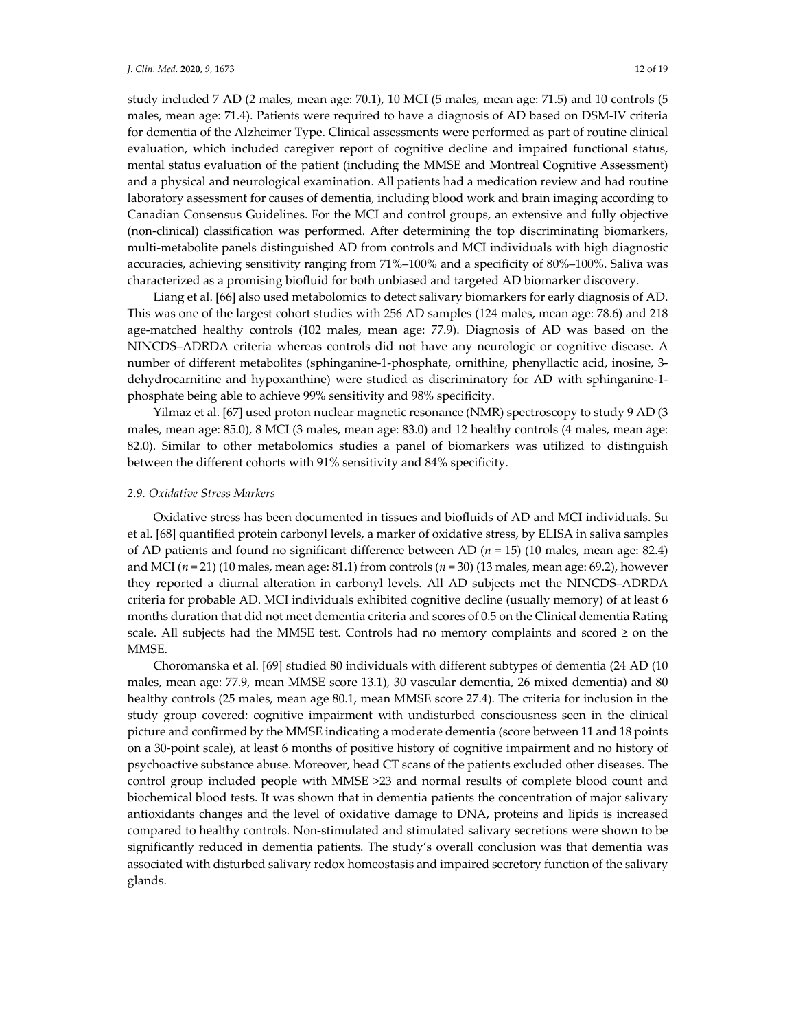study included 7 AD (2 males, mean age: 70.1), 10 MCI (5 males, mean age: 71.5) and 10 controls (5 males, mean age: 71.4). Patients were required to have a diagnosis of AD based on DSM‐IV criteria for dementia of the Alzheimer Type. Clinical assessments were performed as part of routine clinical evaluation, which included caregiver report of cognitive decline and impaired functional status, mental status evaluation of the patient (including the MMSE and Montreal Cognitive Assessment) and a physical and neurological examination. All patients had a medication review and had routine laboratory assessment for causes of dementia, including blood work and brain imaging according to Canadian Consensus Guidelines. For the MCI and control groups, an extensive and fully objective (non-clinical) classification was performed. After determining the top discriminating biomarkers, multi-metabolite panels distinguished AD from controls and MCI individuals with high diagnostic accuracies, achieving sensitivity ranging from 71%–100% and a specificity of 80%–100%. Saliva was characterized as a promising biofluid for both unbiased and targeted AD biomarker discovery.

Liang et al. [66] also used metabolomics to detect salivary biomarkers for early diagnosis of AD. This was one of the largest cohort studies with 256 AD samples (124 males, mean age: 78.6) and 218 age‐matched healthy controls (102 males, mean age: 77.9). Diagnosis of AD was based on the NINCDS–ADRDA criteria whereas controls did not have any neurologic or cognitive disease. A number of different metabolites (sphinganine‐1‐phosphate, ornithine, phenyllactic acid, inosine, 3‐ dehydrocarnitine and hypoxanthine) were studied as discriminatory for AD with sphinganine‐1‐ phosphate being able to achieve 99% sensitivity and 98% specificity.

Yilmaz et al. [67] used proton nuclear magnetic resonance (NMR) spectroscopy to study 9 AD (3 males, mean age: 85.0), 8 MCI (3 males, mean age: 83.0) and 12 healthy controls (4 males, mean age: 82.0). Similar to other metabolomics studies a panel of biomarkers was utilized to distinguish between the different cohorts with 91% sensitivity and 84% specificity.

#### *2.9. Oxidative Stress Markers*

Oxidative stress has been documented in tissues and biofluids of AD and MCI individuals. Su et al. [68] quantified protein carbonyl levels, a marker of oxidative stress, by ELISA in saliva samples of AD patients and found no significant difference between AD (*n =* 15) (10 males, mean age: 82.4) and MCI ( $n = 21$ ) (10 males, mean age: 81.1) from controls ( $n = 30$ ) (13 males, mean age: 69.2), however they reported a diurnal alteration in carbonyl levels. All AD subjects met the NINCDS–ADRDA criteria for probable AD. MCI individuals exhibited cognitive decline (usually memory) of at least 6 months duration that did not meet dementia criteria and scores of 0.5 on the Clinical dementia Rating scale. All subjects had the MMSE test. Controls had no memory complaints and scored  $\geq$  on the MMSE.

Choromanska et al. [69] studied 80 individuals with different subtypes of dementia (24 AD (10 males, mean age: 77.9, mean MMSE score 13.1), 30 vascular dementia, 26 mixed dementia) and 80 healthy controls (25 males, mean age 80.1, mean MMSE score 27.4). The criteria for inclusion in the study group covered: cognitive impairment with undisturbed consciousness seen in the clinical picture and confirmed by the MMSE indicating a moderate dementia (score between 11 and 18 points on a 30‐point scale), at least 6 months of positive history of cognitive impairment and no history of psychoactive substance abuse. Moreover, head CT scans of the patients excluded other diseases. The control group included people with MMSE >23 and normal results of complete blood count and biochemical blood tests. It was shown that in dementia patients the concentration of major salivary antioxidants changes and the level of oxidative damage to DNA, proteins and lipids is increased compared to healthy controls. Non‐stimulated and stimulated salivary secretions were shown to be significantly reduced in dementia patients. The study's overall conclusion was that dementia was associated with disturbed salivary redox homeostasis and impaired secretory function of the salivary glands.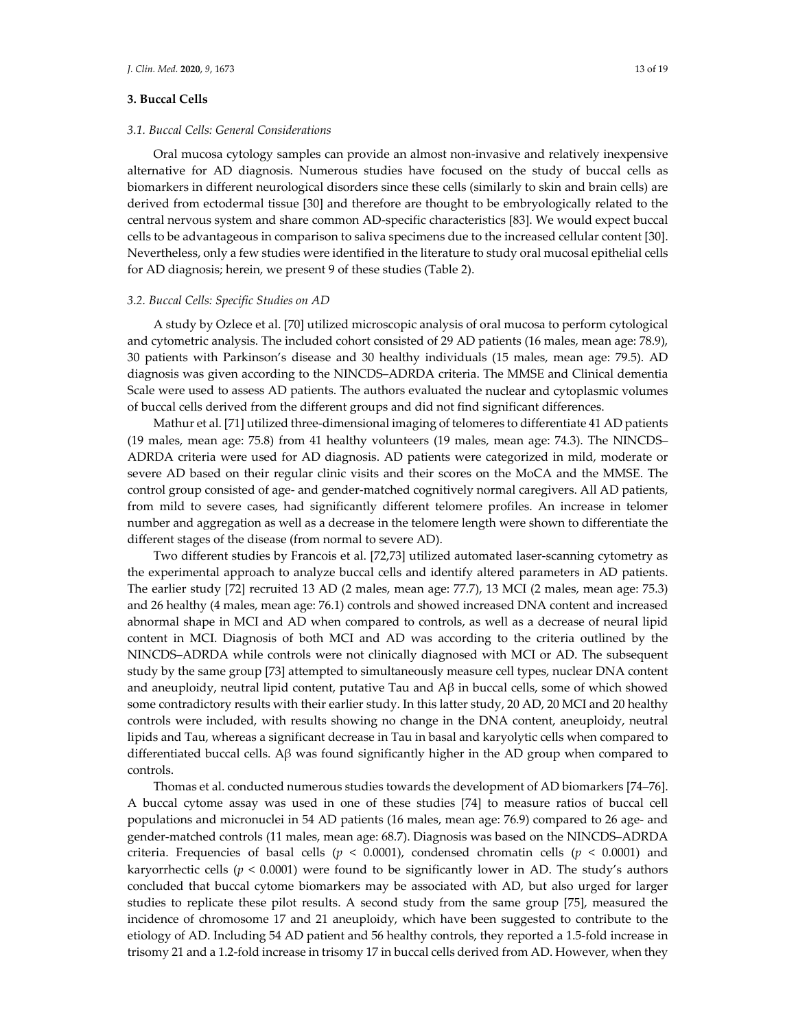### **3. Buccal Cells**

## *3.1. Buccal Cells: General Considerations*

Oral mucosa cytology samples can provide an almost non‐invasive and relatively inexpensive alternative for AD diagnosis. Numerous studies have focused on the study of buccal cells as biomarkers in different neurological disorders since these cells (similarly to skin and brain cells) are derived from ectodermal tissue [30] and therefore are thought to be embryologically related to the central nervous system and share common AD‐specific characteristics [83]. We would expect buccal cells to be advantageous in comparison to saliva specimens due to the increased cellular content [30]. Nevertheless, only a few studies were identified in the literature to study oral mucosal epithelial cells for AD diagnosis; herein, we present 9 of these studies (Table 2).

#### *3.2. Buccal Cells: Specific Studies on AD*

A study by Ozlece et al. [70] utilized microscopic analysis of oral mucosa to perform cytological and cytometric analysis. The included cohort consisted of 29 AD patients (16 males, mean age: 78.9), 30 patients with Parkinson's disease and 30 healthy individuals (15 males, mean age: 79.5). AD diagnosis was given according to the NINCDS–ADRDA criteria. The MMSE and Clinical dementia Scale were used to assess AD patients. The authors evaluated the nuclear and cytoplasmic volumes of buccal cells derived from the different groups and did not find significant differences.

Mathur et al. [71] utilized three‐dimensional imaging of telomeres to differentiate 41 AD patients (19 males, mean age: 75.8) from 41 healthy volunteers (19 males, mean age: 74.3). The NINCDS– ADRDA criteria were used for AD diagnosis. AD patients were categorized in mild, moderate or severe AD based on their regular clinic visits and their scores on the MoCA and the MMSE. The control group consisted of age‐ and gender‐matched cognitively normal caregivers. All AD patients, from mild to severe cases, had significantly different telomere profiles. An increase in telomer number and aggregation as well as a decrease in the telomere length were shown to differentiate the different stages of the disease (from normal to severe AD).

Two different studies by Francois et al. [72,73] utilized automated laser‐scanning cytometry as the experimental approach to analyze buccal cells and identify altered parameters in AD patients. The earlier study [72] recruited 13 AD (2 males, mean age: 77.7), 13 MCI (2 males, mean age: 75.3) and 26 healthy (4 males, mean age: 76.1) controls and showed increased DNA content and increased abnormal shape in MCI and AD when compared to controls, as well as a decrease of neural lipid content in MCI. Diagnosis of both MCI and AD was according to the criteria outlined by the NINCDS–ADRDA while controls were not clinically diagnosed with MCI or AD. The subsequent study by the same group [73] attempted to simultaneously measure cell types, nuclear DNA content and aneuploidy, neutral lipid content, putative Tau and  $\mathbf{A}\beta$  in buccal cells, some of which showed some contradictory results with their earlier study. In this latter study, 20 AD, 20 MCI and 20 healthy controls were included, with results showing no change in the DNA content, aneuploidy, neutral lipids and Tau, whereas a significant decrease in Tau in basal and karyolytic cells when compared to differentiated buccal cells. A $\beta$  was found significantly higher in the AD group when compared to controls.

Thomas et al. conducted numerous studies towards the development of AD biomarkers [74–76]. A buccal cytome assay was used in one of these studies [74] to measure ratios of buccal cell populations and micronuclei in 54 AD patients (16 males, mean age: 76.9) compared to 26 age- and gender‐matched controls (11 males, mean age: 68.7). Diagnosis was based on the NINCDS–ADRDA criteria. Frequencies of basal cells ( $p < 0.0001$ ), condensed chromatin cells ( $p < 0.0001$ ) and karyorrhectic cells ( $p < 0.0001$ ) were found to be significantly lower in AD. The study's authors concluded that buccal cytome biomarkers may be associated with AD, but also urged for larger studies to replicate these pilot results. A second study from the same group [75], measured the incidence of chromosome 17 and 21 aneuploidy, which have been suggested to contribute to the etiology of AD. Including 54 AD patient and 56 healthy controls, they reported a 1.5‐fold increase in trisomy 21 and a 1.2-fold increase in trisomy 17 in buccal cells derived from AD. However, when they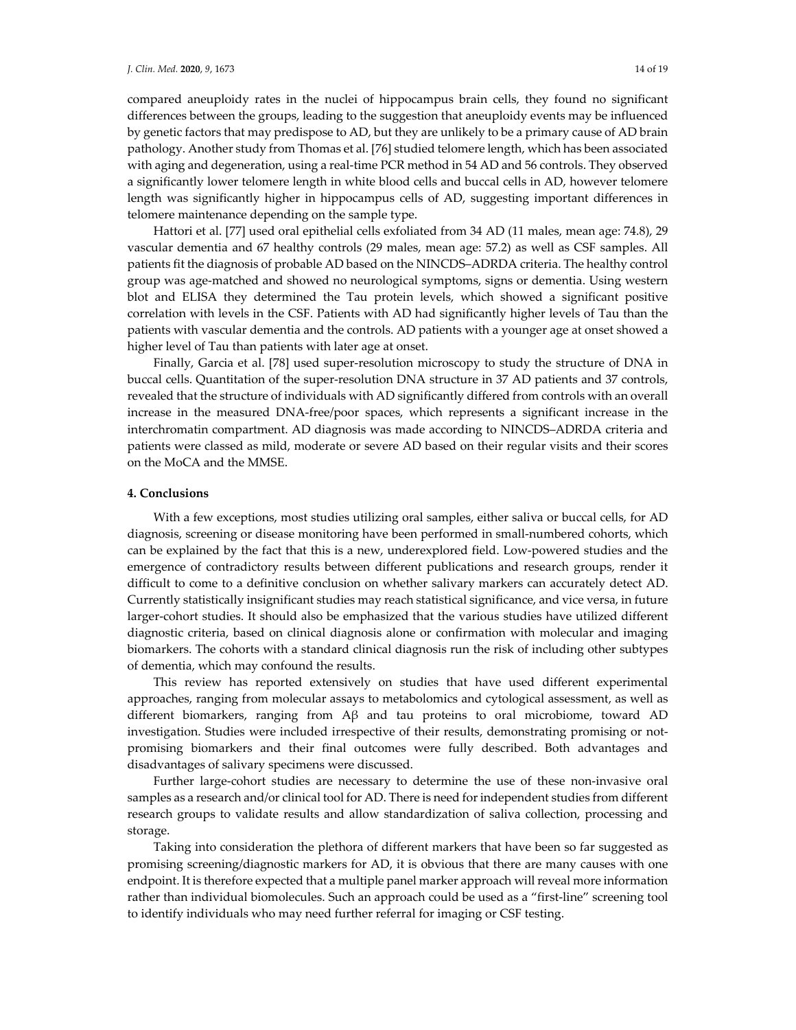compared aneuploidy rates in the nuclei of hippocampus brain cells, they found no significant differences between the groups, leading to the suggestion that aneuploidy events may be influenced by genetic factors that may predispose to AD, but they are unlikely to be a primary cause of AD brain pathology. Another study from Thomas et al. [76] studied telomere length, which has been associated with aging and degeneration, using a real‐time PCR method in 54 AD and 56 controls. They observed a significantly lower telomere length in white blood cells and buccal cells in AD, however telomere length was significantly higher in hippocampus cells of AD, suggesting important differences in telomere maintenance depending on the sample type.

Hattori et al. [77] used oral epithelial cells exfoliated from 34 AD (11 males, mean age: 74.8), 29 vascular dementia and 67 healthy controls (29 males, mean age: 57.2) as well as CSF samples. All patients fit the diagnosis of probable AD based on the NINCDS–ADRDA criteria. The healthy control group was age‐matched and showed no neurological symptoms, signs or dementia. Using western blot and ELISA they determined the Tau protein levels, which showed a significant positive correlation with levels in the CSF. Patients with AD had significantly higher levels of Tau than the patients with vascular dementia and the controls. AD patients with a younger age at onset showed a higher level of Tau than patients with later age at onset.

Finally, Garcia et al. [78] used super-resolution microscopy to study the structure of DNA in buccal cells. Quantitation of the super‐resolution DNA structure in 37 AD patients and 37 controls, revealed that the structure of individuals with AD significantly differed from controls with an overall increase in the measured DNA‐free/poor spaces, which represents a significant increase in the interchromatin compartment. AD diagnosis was made according to NINCDS–ADRDA criteria and patients were classed as mild, moderate or severe AD based on their regular visits and their scores on the MoCA and the MMSE.

#### **4. Conclusions**

With a few exceptions, most studies utilizing oral samples, either saliva or buccal cells, for AD diagnosis, screening or disease monitoring have been performed in small-numbered cohorts, which can be explained by the fact that this is a new, underexplored field. Low‐powered studies and the emergence of contradictory results between different publications and research groups, render it difficult to come to a definitive conclusion on whether salivary markers can accurately detect AD. Currently statistically insignificant studies may reach statistical significance, and vice versa, in future larger‐cohort studies. It should also be emphasized that the various studies have utilized different diagnostic criteria, based on clinical diagnosis alone or confirmation with molecular and imaging biomarkers. The cohorts with a standard clinical diagnosis run the risk of including other subtypes of dementia, which may confound the results.

This review has reported extensively on studies that have used different experimental approaches, ranging from molecular assays to metabolomics and cytological assessment, as well as different biomarkers, ranging from Aβ and tau proteins to oral microbiome, toward AD investigation. Studies were included irrespective of their results, demonstrating promising or notpromising biomarkers and their final outcomes were fully described. Both advantages and disadvantages of salivary specimens were discussed.

Further large-cohort studies are necessary to determine the use of these non-invasive oral samples as a research and/or clinical tool for AD. There is need forindependent studies from different research groups to validate results and allow standardization of saliva collection, processing and storage.

Taking into consideration the plethora of different markers that have been so far suggested as promising screening/diagnostic markers for AD, it is obvious that there are many causes with one endpoint. It is therefore expected that a multiple panel marker approach will reveal more information rather than individual biomolecules. Such an approach could be used as a "first-line" screening tool to identify individuals who may need further referral for imaging or CSF testing.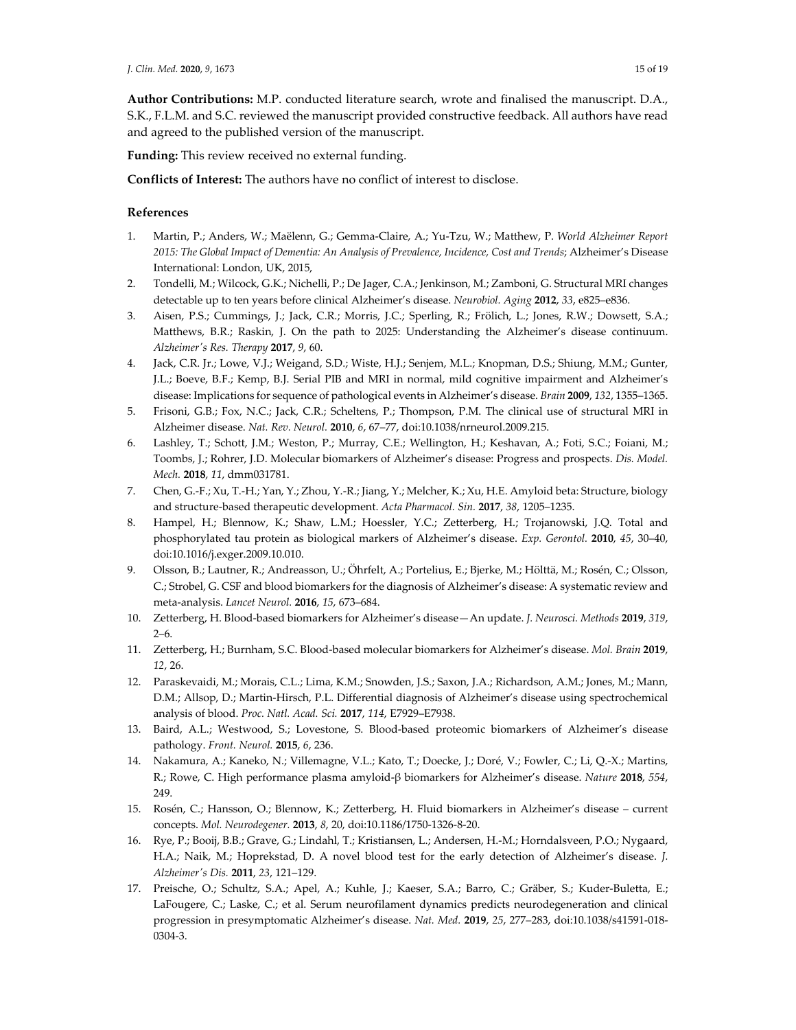**Author Contributions:** M.P. conducted literature search, wrote and finalised the manuscript. D.A., S.K., F.L.M. and S.C. reviewed the manuscript provided constructive feedback. All authors have read and agreed to the published version of the manuscript.

**Funding:** This review received no external funding.

**Conflicts of Interest:** The authors have no conflict of interest to disclose.

# **References**

- 1. Martin, P.; Anders, W.; Maëlenn, G.; Gemma‐Claire, A.; Yu‐Tzu, W.; Matthew, P. *World Alzheimer Report 2015: The Global Impact of Dementia: An Analysis of Prevalence, Incidence, Cost and Trends*; Alzheimer's Disease International: London, UK, 2015,
- 2. Tondelli, M.; Wilcock, G.K.; Nichelli, P.; De Jager, C.A.; Jenkinson, M.; Zamboni, G. Structural MRI changes detectable up to ten years before clinical Alzheimer's disease. *Neurobiol. Aging* **2012**, *33*, e825–e836.
- 3. Aisen, P.S.; Cummings, J.; Jack, C.R.; Morris, J.C.; Sperling, R.; Frölich, L.; Jones, R.W.; Dowsett, S.A.; Matthews, B.R.; Raskin, J. On the path to 2025: Understanding the Alzheimer's disease continuum. *Alzheimerʹs Res. Therapy* **2017**, *9*, 60.
- 4. Jack, C.R. Jr.; Lowe, V.J.; Weigand, S.D.; Wiste, H.J.; Senjem, M.L.; Knopman, D.S.; Shiung, M.M.; Gunter, J.L.; Boeve, B.F.; Kemp, B.J. Serial PIB and MRI in normal, mild cognitive impairment and Alzheimer's disease: Implications for sequence of pathological events in Alzheimer's disease. *Brain* **2009**, *132*, 1355–1365.
- 5. Frisoni, G.B.; Fox, N.C.; Jack, C.R.; Scheltens, P.; Thompson, P.M. The clinical use of structural MRI in Alzheimer disease. *Nat. Rev. Neurol.* **2010**, *6*, 67–77, doi:10.1038/nrneurol.2009.215.
- 6. Lashley, T.; Schott, J.M.; Weston, P.; Murray, C.E.; Wellington, H.; Keshavan, A.; Foti, S.C.; Foiani, M.; Toombs, J.; Rohrer, J.D. Molecular biomarkers of Alzheimer's disease: Progress and prospects. *Dis. Model. Mech.* **2018**, *11*, dmm031781.
- 7. Chen, G.‐F.; Xu, T.‐H.; Yan, Y.; Zhou, Y.‐R.; Jiang, Y.; Melcher, K.; Xu, H.E. Amyloid beta: Structure, biology and structure‐based therapeutic development. *Acta Pharmacol. Sin.* **2017**, *38*, 1205–1235.
- 8. Hampel, H.; Blennow, K.; Shaw, L.M.; Hoessler, Y.C.; Zetterberg, H.; Trojanowski, J.Q. Total and phosphorylated tau protein as biological markers of Alzheimer's disease. *Exp. Gerontol.* **2010**, *45*, 30–40, doi:10.1016/j.exger.2009.10.010.
- 9. Olsson, B.; Lautner, R.; Andreasson, U.; Öhrfelt, A.; Portelius, E.; Bjerke, M.; Hölttä, M.; Rosén, C.; Olsson, C.; Strobel, G. CSF and blood biomarkers for the diagnosis of Alzheimer's disease: A systematic review and meta‐analysis. *Lancet Neurol.* **2016**, *15*, 673–684.
- 10. Zetterberg, H. Blood‐based biomarkers for Alzheimer's disease—An update. *J. Neurosci. Methods* **2019**, *319*, 2–6.
- 11. Zetterberg, H.; Burnham, S.C. Blood‐based molecular biomarkers for Alzheimer's disease. *Mol. Brain* **2019**, *12*, 26.
- 12. Paraskevaidi, M.; Morais, C.L.; Lima, K.M.; Snowden, J.S.; Saxon, J.A.; Richardson, A.M.; Jones, M.; Mann, D.M.; Allsop, D.; Martin‐Hirsch, P.L. Differential diagnosis of Alzheimer's disease using spectrochemical analysis of blood. *Proc. Natl. Acad. Sci.* **2017**, *114*, E7929–E7938.
- 13. Baird, A.L.; Westwood, S.; Lovestone, S. Blood‐based proteomic biomarkers of Alzheimer's disease pathology. *Front. Neurol.* **2015**, *6*, 236.
- 14. Nakamura, A.; Kaneko, N.; Villemagne, V.L.; Kato, T.; Doecke, J.; Doré, V.; Fowler, C.; Li, Q.‐X.; Martins, R.; Rowe, C. High performance plasma amyloid‐β biomarkers for Alzheimer's disease. *Nature* **2018**, *554*, 249.
- 15. Rosén, C.; Hansson, O.; Blennow, K.; Zetterberg, H. Fluid biomarkers in Alzheimer's disease current concepts. *Mol. Neurodegener.* **2013**, *8*, 20, doi:10.1186/1750‐1326‐8‐20.
- 16. Rye, P.; Booij, B.B.; Grave, G.; Lindahl, T.; Kristiansen, L.; Andersen, H.‐M.; Horndalsveen, P.O.; Nygaard, H.A.; Naik, M.; Hoprekstad, D. A novel blood test for the early detection of Alzheimer's disease. *J. Alzheimerʹs Dis.* **2011**, *23*, 121–129.
- 17. Preische, O.; Schultz, S.A.; Apel, A.; Kuhle, J.; Kaeser, S.A.; Barro, C.; Gräber, S.; Kuder‐Buletta, E.; LaFougere, C.; Laske, C.; et al. Serum neurofilament dynamics predicts neurodegeneration and clinical progression in presymptomatic Alzheimer's disease. *Nat. Med.* **2019**, *25*, 277–283, doi:10.1038/s41591‐018‐ 0304‐3.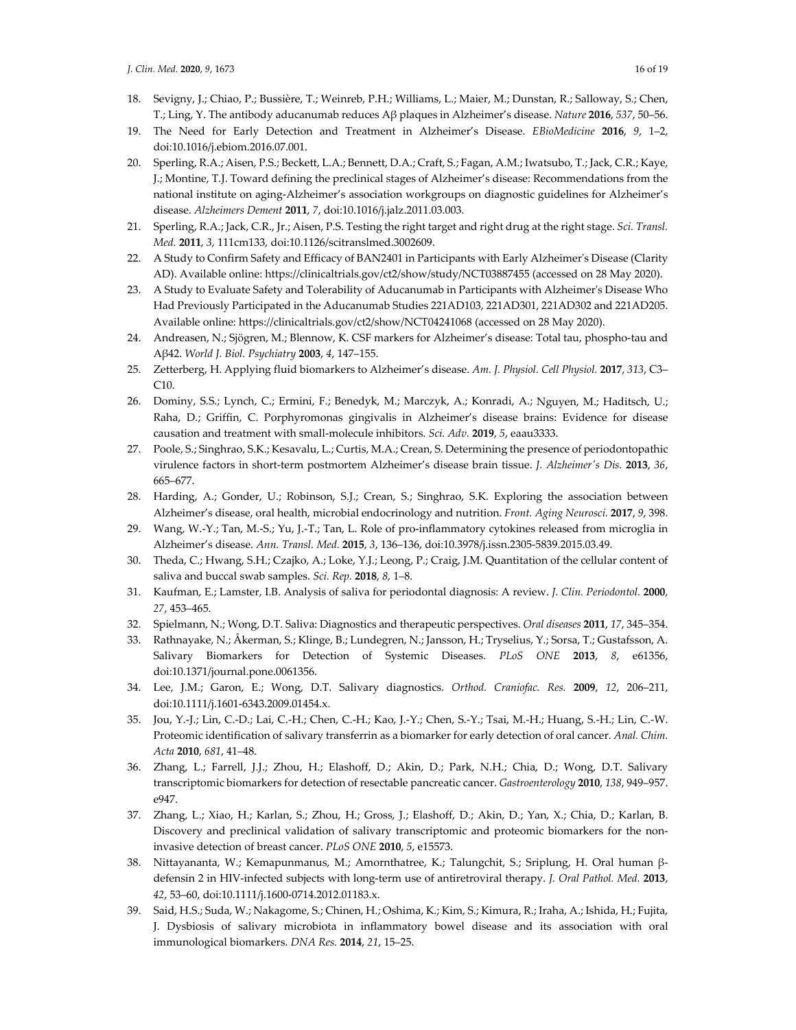- 18. Sevigny, J.; Chiao, P.; Bussière, T.; Weinreb, P.H.; Williams, L.; Maier, M.; Dunstan, R.; Salloway, S.; Chen, T.; Ling, Y. The antibody aducanumab reduces Aβ plaques in Alzheimer's disease. *Nature* **2016**, *537*, 50–56.
- 19. The Need for Early Detection and Treatment in Alzheimer's Disease. *EBioMedicine* **2016**, *9*, 1–2, doi:10.1016/j.ebiom.2016.07.001.
- 20. Sperling, R.A.; Aisen, P.S.; Beckett, L.A.; Bennett, D.A.; Craft, S.; Fagan, A.M.; Iwatsubo, T.; Jack, C.R.; Kaye, J.; Montine, T.J. Toward defining the preclinical stages of Alzheimer's disease: Recommendations from the national institute on aging‐Alzheimer's association workgroups on diagnostic guidelines for Alzheimer's disease. *Alzheimers Dement* **2011**, *7*, doi:10.1016/j.jalz.2011.03.003.
- 21. Sperling, R.A.; Jack, C.R., Jr.; Aisen, P.S. Testing the right target and right drug at the right stage. *Sci. Transl. Med.* **2011**, *3*, 111cm133, doi:10.1126/scitranslmed.3002609.
- 22. A Study to Confirm Safety and Efficacy of BAN2401 in Participants with Early Alzheimerʹs Disease (Clarity AD). Available online: https://clinicaltrials.gov/ct2/show/study/NCT03887455 (accessed on 28 May 2020).
- 23. A Study to Evaluate Safety and Tolerability of Aducanumab in Participants with Alzheimer's Disease Who Had Previously Participated in the Aducanumab Studies 221AD103, 221AD301, 221AD302 and 221AD205. Available online: https://clinicaltrials.gov/ct2/show/NCT04241068 (accessed on 28 May 2020).
- 24. Andreasen, N.; Sjögren, M.; Blennow, K. CSF markers for Alzheimer's disease: Total tau, phospho‐tau and Aβ42. *World J. Biol. Psychiatry* **2003**, *4*, 147–155.
- 25. Zetterberg, H. Applying fluid biomarkers to Alzheimer's disease. *Am. J. Physiol. Cell Physiol.* **2017**, *313*, C3–  $C10$ .
- 26. Dominy, S.S.; Lynch, C.; Ermini, F.; Benedyk, M.; Marczyk, A.; Konradi, A.; Nguyen, M.; Haditsch, U.; Raha, D.; Griffin, C. Porphyromonas gingivalis in Alzheimer's disease brains: Evidence for disease causation and treatment with small‐molecule inhibitors. *Sci. Adv.* **2019**, *5*, eaau3333.
- 27. Poole, S.; Singhrao, S.K.; Kesavalu, L.; Curtis, M.A.; Crean, S. Determining the presence of periodontopathic virulence factors in short‐term postmortem Alzheimer's disease brain tissue. *J. Alzheimerʹs Dis.* **2013**, *36*, 665–677.
- 28. Harding, A.; Gonder, U.; Robinson, S.J.; Crean, S.; Singhrao, S.K. Exploring the association between Alzheimer's disease, oral health, microbial endocrinology and nutrition. *Front. Aging Neurosci.* **2017**, *9*, 398.
- 29. Wang, W.‐Y.; Tan, M.‐S.; Yu, J.‐T.; Tan, L. Role of pro‐inflammatory cytokines released from microglia in Alzheimer's disease. *Ann. Transl. Med.* **2015**, *3*, 136–136, doi:10.3978/j.issn.2305‐5839.2015.03.49.
- 30. Theda, C.; Hwang, S.H.; Czajko, A.; Loke, Y.J.; Leong, P.; Craig, J.M. Quantitation of the cellular content of saliva and buccal swab samples. *Sci. Rep.* **2018**, *8*, 1–8.
- 31. Kaufman, E.; Lamster, I.B. Analysis of saliva for periodontal diagnosis: A review. *J. Clin. Periodontol.* **2000**, *27*, 453–465.
- 32. Spielmann, N.; Wong, D.T. Saliva: Diagnostics and therapeutic perspectives. *Oral diseases* **2011**, *17*, 345–354.
- 33. Rathnayake, N.; Åkerman, S.; Klinge, B.; Lundegren, N.; Jansson, H.; Tryselius, Y.; Sorsa, T.; Gustafsson, A. Salivary Biomarkers for Detection of Systemic Diseases. *PLoS ONE* **2013**, *8*, e61356, doi:10.1371/journal.pone.0061356.
- 34. Lee, J.M.; Garon, E.; Wong, D.T. Salivary diagnostics. *Orthod. Craniofac. Res.* **2009**, *12*, 206–211, doi:10.1111/j.1601‐6343.2009.01454.x.
- 35. Jou, Y.‐J.; Lin, C.‐D.; Lai, C.‐H.; Chen, C.‐H.; Kao, J.‐Y.; Chen, S.‐Y.; Tsai, M.‐H.; Huang, S.‐H.; Lin, C.‐W. Proteomic identification of salivary transferrin as a biomarker for early detection of oral cancer. *Anal. Chim. Acta* **2010**, *681*, 41–48.
- 36. Zhang, L.; Farrell, J.J.; Zhou, H.; Elashoff, D.; Akin, D.; Park, N.H.; Chia, D.; Wong, D.T. Salivary transcriptomic biomarkers for detection of resectable pancreatic cancer. *Gastroenterology* **2010**, *138*, 949–957. e947.
- 37. Zhang, L.; Xiao, H.; Karlan, S.; Zhou, H.; Gross, J.; Elashoff, D.; Akin, D.; Yan, X.; Chia, D.; Karlan, B. Discovery and preclinical validation of salivary transcriptomic and proteomic biomarkers for the non‐ invasive detection of breast cancer. *PLoS ONE* **2010**, *5*, e15573.
- 38. Nittayananta, W.; Kemapunmanus, M.; Amornthatree, K.; Talungchit, S.; Sriplung, H. Oral human β‐ defensin 2 in HIV‐infected subjects with long‐term use of antiretroviral therapy. *J. Oral Pathol. Med.* **2013**, *42*, 53–60, doi:10.1111/j.1600‐0714.2012.01183.x.
- 39. Said, H.S.; Suda, W.; Nakagome, S.; Chinen, H.; Oshima, K.; Kim, S.; Kimura, R.; Iraha, A.; Ishida, H.; Fujita, J. Dysbiosis of salivary microbiota in inflammatory bowel disease and its association with oral immunological biomarkers. *DNA Res.* **2014**, *21*, 15–25.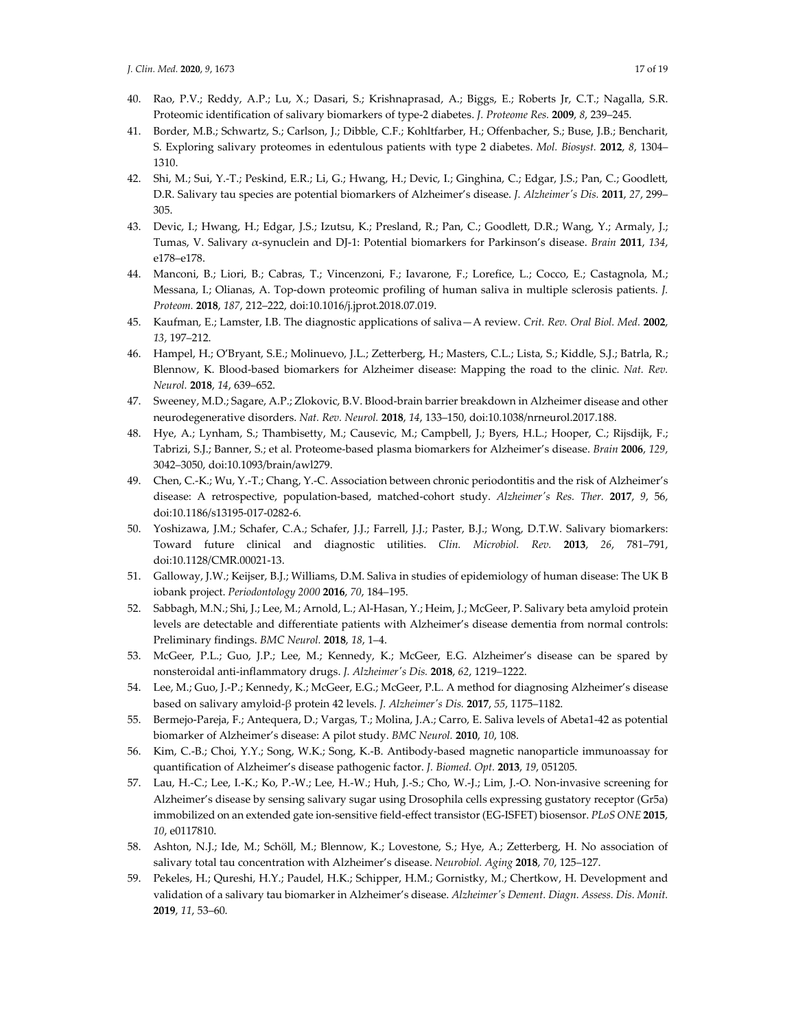- 40. Rao, P.V.; Reddy, A.P.; Lu, X.; Dasari, S.; Krishnaprasad, A.; Biggs, E.; Roberts Jr, C.T.; Nagalla, S.R. Proteomic identification of salivary biomarkers of type‐2 diabetes. *J. Proteome Res.* **2009**, *8*, 239–245.
- 41. Border, M.B.; Schwartz, S.; Carlson, J.; Dibble, C.F.; Kohltfarber, H.; Offenbacher, S.; Buse, J.B.; Bencharit, S. Exploring salivary proteomes in edentulous patients with type 2 diabetes. *Mol. Biosyst.* **2012**, *8*, 1304– 1310.
- 42. Shi, M.; Sui, Y.‐T.; Peskind, E.R.; Li, G.; Hwang, H.; Devic, I.; Ginghina, C.; Edgar, J.S.; Pan, C.; Goodlett, D.R. Salivary tau species are potential biomarkers of Alzheimer's disease. *J. Alzheimerʹs Dis.* **2011**, *27*, 299– 305.
- 43. Devic, I.; Hwang, H.; Edgar, J.S.; Izutsu, K.; Presland, R.; Pan, C.; Goodlett, D.R.; Wang, Y.; Armaly, J.; Tumas, V. Salivary α‐synuclein and DJ‐1: Potential biomarkers for Parkinson's disease. *Brain* **2011**, *134*, e178–e178.
- 44. Manconi, B.; Liori, B.; Cabras, T.; Vincenzoni, F.; Iavarone, F.; Lorefice, L.; Cocco, E.; Castagnola, M.; Messana, I.; Olianas, A. Top‐down proteomic profiling of human saliva in multiple sclerosis patients. *J. Proteom.* **2018**, *187*, 212–222, doi:10.1016/j.jprot.2018.07.019.
- 45. Kaufman, E.; Lamster, I.B. The diagnostic applications of saliva—A review. *Crit. Rev. Oral Biol. Med.* **2002**, *13*, 197–212.
- 46. Hampel, H.; O'Bryant, S.E.; Molinuevo, J.L.; Zetterberg, H.; Masters, C.L.; Lista, S.; Kiddle, S.J.; Batrla, R.; Blennow, K. Blood‐based biomarkers for Alzheimer disease: Mapping the road to the clinic. *Nat. Rev. Neurol.* **2018**, *14*, 639–652.
- 47. Sweeney, M.D.; Sagare, A.P.; Zlokovic, B.V. Blood‐brain barrier breakdown in Alzheimer disease and other neurodegenerative disorders. *Nat. Rev. Neurol.* **2018**, *14*, 133–150, doi:10.1038/nrneurol.2017.188.
- 48. Hye, A.; Lynham, S.; Thambisetty, M.; Causevic, M.; Campbell, J.; Byers, H.L.; Hooper, C.; Rijsdijk, F.; Tabrizi, S.J.; Banner, S.; et al. Proteome‐based plasma biomarkers for Alzheimer's disease. *Brain* **2006**, *129*, 3042–3050, doi:10.1093/brain/awl279.
- 49. Chen, C.‐K.; Wu, Y.‐T.; Chang, Y.‐C. Association between chronic periodontitis and the risk of Alzheimer's disease: A retrospective, population‐based, matched‐cohort study. *Alzheimerʹs Res. Ther.* **2017**, *9*, 56, doi:10.1186/s13195‐017‐0282‐6.
- 50. Yoshizawa, J.M.; Schafer, C.A.; Schafer, J.J.; Farrell, J.J.; Paster, B.J.; Wong, D.T.W. Salivary biomarkers: Toward future clinical and diagnostic utilities. *Clin. Microbiol. Rev.* **2013**, *26*, 781–791, doi:10.1128/CMR.00021‐13.
- 51. Galloway, J.W.; Keijser, B.J.; Williams, D.M. Saliva in studies of epidemiology of human disease: The UK B iobank project. *Periodontology 2000* **2016**, *70*, 184–195.
- 52. Sabbagh, M.N.; Shi, J.; Lee, M.; Arnold, L.; Al‐Hasan, Y.; Heim, J.; McGeer, P. Salivary beta amyloid protein levels are detectable and differentiate patients with Alzheimer's disease dementia from normal controls: Preliminary findings. *BMC Neurol.* **2018**, *18*, 1–4.
- 53. McGeer, P.L.; Guo, J.P.; Lee, M.; Kennedy, K.; McGeer, E.G. Alzheimer's disease can be spared by nonsteroidal anti‐inflammatory drugs. *J. Alzheimerʹs Dis.* **2018**, *62*, 1219–1222.
- 54. Lee, M.; Guo, J.‐P.; Kennedy, K.; McGeer, E.G.; McGeer, P.L. A method for diagnosing Alzheimer's disease based on salivary amyloid‐β protein 42 levels. *J. Alzheimerʹs Dis.* **2017**, *55*, 1175–1182.
- 55. Bermejo‐Pareja, F.; Antequera, D.; Vargas, T.; Molina, J.A.; Carro, E. Saliva levels of Abeta1‐42 as potential biomarker of Alzheimer's disease: A pilot study. *BMC Neurol.* **2010**, *10*, 108.
- 56. Kim, C.‐B.; Choi, Y.Y.; Song, W.K.; Song, K.‐B. Antibody‐based magnetic nanoparticle immunoassay for quantification of Alzheimer's disease pathogenic factor. *J. Biomed. Opt.* **2013**, *19*, 051205.
- 57. Lau, H.‐C.; Lee, I.‐K.; Ko, P.‐W.; Lee, H.‐W.; Huh, J.‐S.; Cho, W.‐J.; Lim, J.‐O. Non‐invasive screening for Alzheimer's disease by sensing salivary sugar using Drosophila cells expressing gustatory receptor (Gr5a) immobilized on an extended gate ion‐sensitive field‐effect transistor (EG‐ISFET) biosensor. *PLoS ONE* **2015**, *10*, e0117810.
- 58. Ashton, N.J.; Ide, M.; Schöll, M.; Blennow, K.; Lovestone, S.; Hye, A.; Zetterberg, H. No association of salivary total tau concentration with Alzheimer's disease. *Neurobiol. Aging* **2018**, *70*, 125–127.
- 59. Pekeles, H.; Qureshi, H.Y.; Paudel, H.K.; Schipper, H.M.; Gornistky, M.; Chertkow, H. Development and validation of a salivary tau biomarker in Alzheimer's disease. *Alzheimerʹs Dement. Diagn. Assess. Dis. Monit.* **2019**, *11*, 53–60.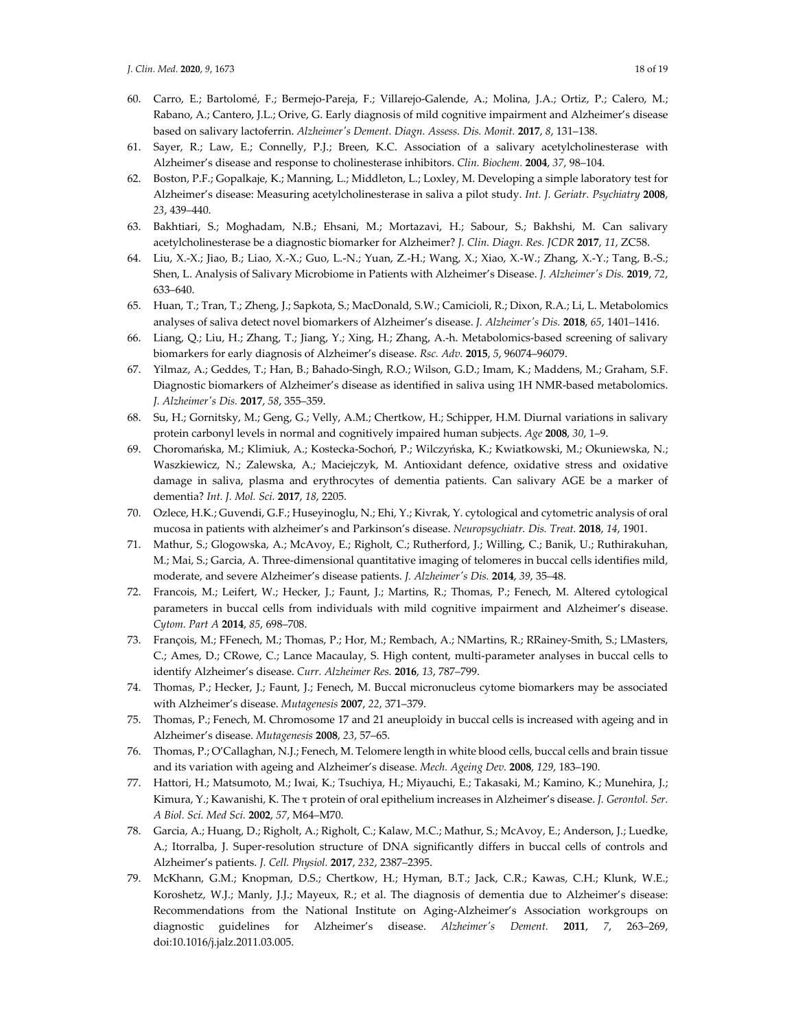- 60. Carro, E.; Bartolomé, F.; Bermejo‐Pareja, F.; Villarejo‐Galende, A.; Molina, J.A.; Ortiz, P.; Calero, M.; Rabano, A.; Cantero, J.L.; Orive, G. Early diagnosis of mild cognitive impairment and Alzheimer's disease based on salivary lactoferrin. *Alzheimerʹs Dement. Diagn. Assess. Dis. Monit.* **2017**, *8*, 131–138.
- 61. Sayer, R.; Law, E.; Connelly, P.J.; Breen, K.C. Association of a salivary acetylcholinesterase with Alzheimer's disease and response to cholinesterase inhibitors. *Clin. Biochem.* **2004**, *37*, 98–104.
- 62. Boston, P.F.; Gopalkaje, K.; Manning, L.; Middleton, L.; Loxley, M. Developing a simple laboratory test for Alzheimer's disease: Measuring acetylcholinesterase in saliva a pilot study. *Int. J. Geriatr. Psychiatry* **2008**, *23*, 439–440.
- 63. Bakhtiari, S.; Moghadam, N.B.; Ehsani, M.; Mortazavi, H.; Sabour, S.; Bakhshi, M. Can salivary acetylcholinesterase be a diagnostic biomarker for Alzheimer? *J. Clin. Diagn. Res. JCDR* **2017**, *11*, ZC58.
- 64. Liu, X.‐X.; Jiao, B.; Liao, X.‐X.; Guo, L.‐N.; Yuan, Z.‐H.; Wang, X.; Xiao, X.‐W.; Zhang, X.‐Y.; Tang, B.‐S.; Shen, L. Analysis of Salivary Microbiome in Patients with Alzheimer's Disease. *J. Alzheimerʹs Dis.* **2019**, *72*, 633–640.
- 65. Huan, T.; Tran, T.; Zheng, J.; Sapkota, S.; MacDonald, S.W.; Camicioli, R.; Dixon, R.A.; Li, L. Metabolomics analyses of saliva detect novel biomarkers of Alzheimer's disease. *J. Alzheimerʹs Dis.* **2018**, *65*, 1401–1416.
- 66. Liang, Q.; Liu, H.; Zhang, T.; Jiang, Y.; Xing, H.; Zhang, A.‐h. Metabolomics‐based screening of salivary biomarkers for early diagnosis of Alzheimer's disease. *Rsc. Adv.* **2015**, *5*, 96074–96079.
- 67. Yilmaz, A.; Geddes, T.; Han, B.; Bahado‐Singh, R.O.; Wilson, G.D.; Imam, K.; Maddens, M.; Graham, S.F. Diagnostic biomarkers of Alzheimer's disease as identified in saliva using 1H NMR‐based metabolomics. *J. Alzheimerʹs Dis.* **2017**, *58*, 355–359.
- 68. Su, H.; Gornitsky, M.; Geng, G.; Velly, A.M.; Chertkow, H.; Schipper, H.M. Diurnal variations in salivary protein carbonyl levels in normal and cognitively impaired human subjects. *Age* **2008**, *30*, 1–9.
- 69. Choromańska, M.; Klimiuk, A.; Kostecka‐Sochoń, P.; Wilczyńska, K.; Kwiatkowski, M.; Okuniewska, N.; Waszkiewicz, N.; Zalewska, A.; Maciejczyk, M. Antioxidant defence, oxidative stress and oxidative damage in saliva, plasma and erythrocytes of dementia patients. Can salivary AGE be a marker of dementia? *Int. J. Mol. Sci.* **2017**, *18*, 2205.
- 70. Ozlece, H.K.; Guvendi, G.F.; Huseyinoglu, N.; Ehi, Y.; Kivrak, Y. cytological and cytometric analysis of oral mucosa in patients with alzheimer's and Parkinson's disease. *Neuropsychiatr. Dis. Treat.* **2018**, *14*, 1901.
- 71. Mathur, S.; Glogowska, A.; McAvoy, E.; Righolt, C.; Rutherford, J.; Willing, C.; Banik, U.; Ruthirakuhan, M.; Mai, S.; Garcia, A. Three-dimensional quantitative imaging of telomeres in buccal cells identifies mild, moderate, and severe Alzheimer's disease patients. *J. Alzheimerʹs Dis.* **2014**, *39*, 35–48.
- 72. Francois, M.; Leifert, W.; Hecker, J.; Faunt, J.; Martins, R.; Thomas, P.; Fenech, M. Altered cytological parameters in buccal cells from individuals with mild cognitive impairment and Alzheimer's disease. *Cytom. Part A* **2014**, *85*, 698–708.
- 73. François, M.; FFenech, M.; Thomas, P.; Hor, M.; Rembach, A.; NMartins, R.; RRainey‐Smith, S.; LMasters, C.; Ames, D.; CRowe, C.; Lance Macaulay, S. High content, multi‐parameter analyses in buccal cells to identify Alzheimer's disease. *Curr. Alzheimer Res.* **2016**, *13*, 787–799.
- 74. Thomas, P.; Hecker, J.; Faunt, J.; Fenech, M. Buccal micronucleus cytome biomarkers may be associated with Alzheimer's disease. *Mutagenesis* **2007**, *22*, 371–379.
- 75. Thomas, P.; Fenech, M. Chromosome 17 and 21 aneuploidy in buccal cells is increased with ageing and in Alzheimer's disease. *Mutagenesis* **2008**, *23*, 57–65.
- 76. Thomas, P.; O'Callaghan, N.J.; Fenech, M. Telomere length in white blood cells, buccal cells and brain tissue and its variation with ageing and Alzheimer's disease. *Mech. Ageing Dev.* **2008**, *129*, 183–190.
- 77. Hattori, H.; Matsumoto, M.; Iwai, K.; Tsuchiya, H.; Miyauchi, E.; Takasaki, M.; Kamino, K.; Munehira, J.; Kimura, Y.; Kawanishi, K. The τ protein of oral epithelium increases in Alzheimer's disease. *J. Gerontol. Ser. A Biol. Sci. Med Sci.* **2002**, *57*, M64–M70.
- 78. Garcia, A.; Huang, D.; Righolt, A.; Righolt, C.; Kalaw, M.C.; Mathur, S.; McAvoy, E.; Anderson, J.; Luedke, A.; Itorralba, J. Super-resolution structure of DNA significantly differs in buccal cells of controls and Alzheimer's patients. *J. Cell. Physiol.* **2017**, *232*, 2387–2395.
- 79. McKhann, G.M.; Knopman, D.S.; Chertkow, H.; Hyman, B.T.; Jack, C.R.; Kawas, C.H.; Klunk, W.E.; Koroshetz, W.J.; Manly, J.J.; Mayeux, R.; et al. The diagnosis of dementia due to Alzheimer's disease: Recommendations from the National Institute on Aging‐Alzheimer's Association workgroups on diagnostic guidelines for Alzheimer's disease. *Alzheimerʹs Dement.* **2011**, *7*, 263–269, doi:10.1016/j.jalz.2011.03.005.